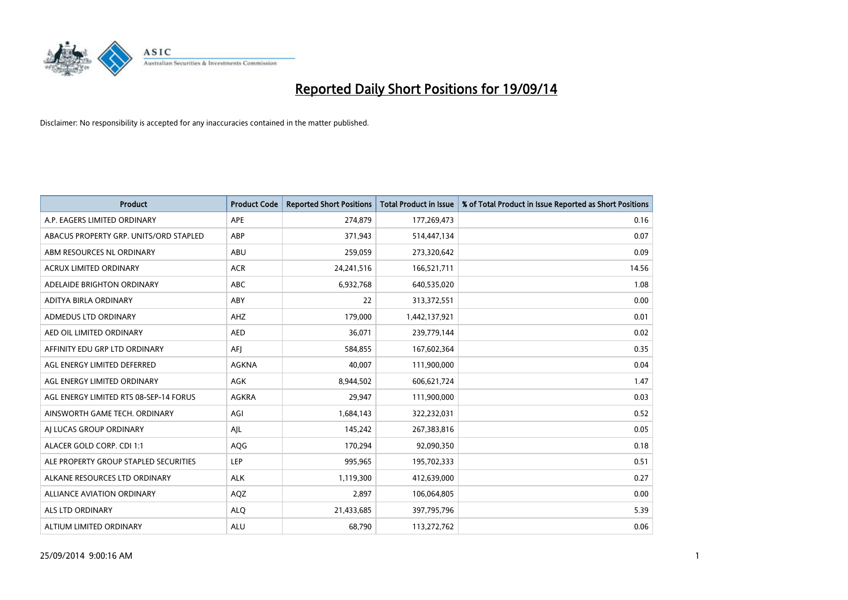

| <b>Product</b>                         | <b>Product Code</b> | <b>Reported Short Positions</b> | <b>Total Product in Issue</b> | % of Total Product in Issue Reported as Short Positions |
|----------------------------------------|---------------------|---------------------------------|-------------------------------|---------------------------------------------------------|
| A.P. EAGERS LIMITED ORDINARY           | APE                 | 274,879                         | 177,269,473                   | 0.16                                                    |
| ABACUS PROPERTY GRP. UNITS/ORD STAPLED | ABP                 | 371,943                         | 514,447,134                   | 0.07                                                    |
| ABM RESOURCES NL ORDINARY              | ABU                 | 259,059                         | 273,320,642                   | 0.09                                                    |
| <b>ACRUX LIMITED ORDINARY</b>          | <b>ACR</b>          | 24,241,516                      | 166,521,711                   | 14.56                                                   |
| ADELAIDE BRIGHTON ORDINARY             | <b>ABC</b>          | 6,932,768                       | 640,535,020                   | 1.08                                                    |
| ADITYA BIRLA ORDINARY                  | ABY                 | 22                              | 313,372,551                   | 0.00                                                    |
| ADMEDUS LTD ORDINARY                   | AHZ                 | 179,000                         | 1,442,137,921                 | 0.01                                                    |
| AED OIL LIMITED ORDINARY               | <b>AED</b>          | 36,071                          | 239,779,144                   | 0.02                                                    |
| AFFINITY EDU GRP LTD ORDINARY          | AFI                 | 584,855                         | 167,602,364                   | 0.35                                                    |
| AGL ENERGY LIMITED DEFERRED            | <b>AGKNA</b>        | 40,007                          | 111,900,000                   | 0.04                                                    |
| AGL ENERGY LIMITED ORDINARY            | AGK                 | 8,944,502                       | 606,621,724                   | 1.47                                                    |
| AGL ENERGY LIMITED RTS 08-SEP-14 FORUS | AGKRA               | 29,947                          | 111,900,000                   | 0.03                                                    |
| AINSWORTH GAME TECH. ORDINARY          | AGI                 | 1,684,143                       | 322,232,031                   | 0.52                                                    |
| AI LUCAS GROUP ORDINARY                | AJL                 | 145,242                         | 267,383,816                   | 0.05                                                    |
| ALACER GOLD CORP. CDI 1:1              | AQG                 | 170,294                         | 92,090,350                    | 0.18                                                    |
| ALE PROPERTY GROUP STAPLED SECURITIES  | LEP                 | 995,965                         | 195,702,333                   | 0.51                                                    |
| ALKANE RESOURCES LTD ORDINARY          | <b>ALK</b>          | 1,119,300                       | 412,639,000                   | 0.27                                                    |
| ALLIANCE AVIATION ORDINARY             | AQZ                 | 2,897                           | 106,064,805                   | 0.00                                                    |
| ALS LTD ORDINARY                       | <b>ALQ</b>          | 21,433,685                      | 397,795,796                   | 5.39                                                    |
| ALTIUM LIMITED ORDINARY                | ALU                 | 68,790                          | 113,272,762                   | 0.06                                                    |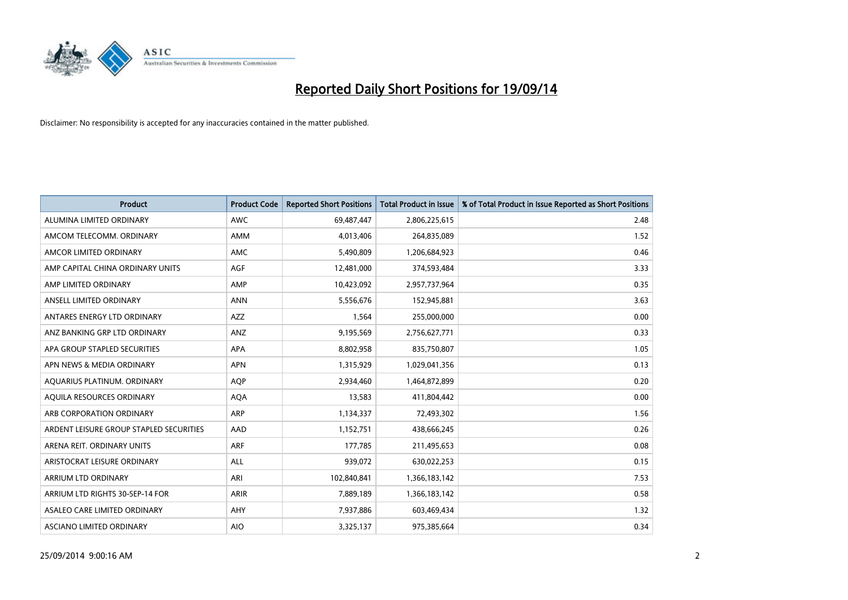

| <b>Product</b>                          | <b>Product Code</b> | <b>Reported Short Positions</b> | <b>Total Product in Issue</b> | % of Total Product in Issue Reported as Short Positions |
|-----------------------------------------|---------------------|---------------------------------|-------------------------------|---------------------------------------------------------|
| ALUMINA LIMITED ORDINARY                | <b>AWC</b>          | 69,487,447                      | 2,806,225,615                 | 2.48                                                    |
| AMCOM TELECOMM. ORDINARY                | AMM                 | 4,013,406                       | 264,835,089                   | 1.52                                                    |
| AMCOR LIMITED ORDINARY                  | AMC                 | 5,490,809                       | 1,206,684,923                 | 0.46                                                    |
| AMP CAPITAL CHINA ORDINARY UNITS        | AGF                 | 12,481,000                      | 374,593,484                   | 3.33                                                    |
| AMP LIMITED ORDINARY                    | AMP                 | 10,423,092                      | 2,957,737,964                 | 0.35                                                    |
| ANSELL LIMITED ORDINARY                 | <b>ANN</b>          | 5,556,676                       | 152,945,881                   | 3.63                                                    |
| ANTARES ENERGY LTD ORDINARY             | AZZ                 | 1,564                           | 255,000,000                   | 0.00                                                    |
| ANZ BANKING GRP LTD ORDINARY            | ANZ                 | 9,195,569                       | 2,756,627,771                 | 0.33                                                    |
| APA GROUP STAPLED SECURITIES            | <b>APA</b>          | 8,802,958                       | 835,750,807                   | 1.05                                                    |
| APN NEWS & MEDIA ORDINARY               | <b>APN</b>          | 1,315,929                       | 1,029,041,356                 | 0.13                                                    |
| AQUARIUS PLATINUM. ORDINARY             | AQP                 | 2,934,460                       | 1,464,872,899                 | 0.20                                                    |
| AOUILA RESOURCES ORDINARY               | <b>AQA</b>          | 13,583                          | 411,804,442                   | 0.00                                                    |
| ARB CORPORATION ORDINARY                | ARP                 | 1,134,337                       | 72,493,302                    | 1.56                                                    |
| ARDENT LEISURE GROUP STAPLED SECURITIES | AAD                 | 1,152,751                       | 438,666,245                   | 0.26                                                    |
| ARENA REIT. ORDINARY UNITS              | <b>ARF</b>          | 177,785                         | 211,495,653                   | 0.08                                                    |
| ARISTOCRAT LEISURE ORDINARY             | ALL                 | 939,072                         | 630,022,253                   | 0.15                                                    |
| ARRIUM LTD ORDINARY                     | ARI                 | 102,840,841                     | 1,366,183,142                 | 7.53                                                    |
| ARRIUM LTD RIGHTS 30-SEP-14 FOR         | ARIR                | 7,889,189                       | 1,366,183,142                 | 0.58                                                    |
| ASALEO CARE LIMITED ORDINARY            | AHY                 | 7,937,886                       | 603,469,434                   | 1.32                                                    |
| ASCIANO LIMITED ORDINARY                | <b>AIO</b>          | 3,325,137                       | 975,385,664                   | 0.34                                                    |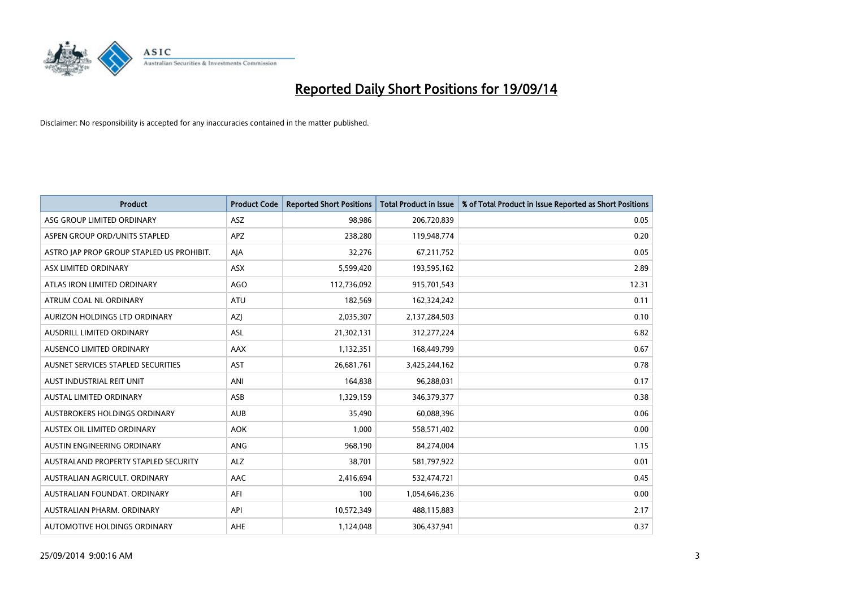

| <b>Product</b>                            | <b>Product Code</b> | <b>Reported Short Positions</b> | <b>Total Product in Issue</b> | % of Total Product in Issue Reported as Short Positions |
|-------------------------------------------|---------------------|---------------------------------|-------------------------------|---------------------------------------------------------|
| ASG GROUP LIMITED ORDINARY                | <b>ASZ</b>          | 98,986                          | 206,720,839                   | 0.05                                                    |
| ASPEN GROUP ORD/UNITS STAPLED             | <b>APZ</b>          | 238,280                         | 119,948,774                   | 0.20                                                    |
| ASTRO JAP PROP GROUP STAPLED US PROHIBIT. | AJA                 | 32,276                          | 67,211,752                    | 0.05                                                    |
| ASX LIMITED ORDINARY                      | ASX                 | 5,599,420                       | 193,595,162                   | 2.89                                                    |
| ATLAS IRON LIMITED ORDINARY               | <b>AGO</b>          | 112,736,092                     | 915,701,543                   | 12.31                                                   |
| ATRUM COAL NL ORDINARY                    | <b>ATU</b>          | 182,569                         | 162,324,242                   | 0.11                                                    |
| AURIZON HOLDINGS LTD ORDINARY             | AZJ                 | 2,035,307                       | 2,137,284,503                 | 0.10                                                    |
| AUSDRILL LIMITED ORDINARY                 | ASL                 | 21,302,131                      | 312,277,224                   | 6.82                                                    |
| AUSENCO LIMITED ORDINARY                  | AAX                 | 1,132,351                       | 168,449,799                   | 0.67                                                    |
| AUSNET SERVICES STAPLED SECURITIES        | AST                 | 26,681,761                      | 3,425,244,162                 | 0.78                                                    |
| AUST INDUSTRIAL REIT UNIT                 | ANI                 | 164,838                         | 96,288,031                    | 0.17                                                    |
| <b>AUSTAL LIMITED ORDINARY</b>            | ASB                 | 1,329,159                       | 346, 379, 377                 | 0.38                                                    |
| AUSTBROKERS HOLDINGS ORDINARY             | <b>AUB</b>          | 35,490                          | 60,088,396                    | 0.06                                                    |
| AUSTEX OIL LIMITED ORDINARY               | <b>AOK</b>          | 1,000                           | 558,571,402                   | 0.00                                                    |
| <b>AUSTIN ENGINEERING ORDINARY</b>        | ANG                 | 968,190                         | 84,274,004                    | 1.15                                                    |
| AUSTRALAND PROPERTY STAPLED SECURITY      | <b>ALZ</b>          | 38,701                          | 581,797,922                   | 0.01                                                    |
| AUSTRALIAN AGRICULT. ORDINARY             | AAC                 | 2,416,694                       | 532,474,721                   | 0.45                                                    |
| AUSTRALIAN FOUNDAT, ORDINARY              | AFI                 | 100                             | 1,054,646,236                 | 0.00                                                    |
| AUSTRALIAN PHARM, ORDINARY                | API                 | 10,572,349                      | 488,115,883                   | 2.17                                                    |
| AUTOMOTIVE HOLDINGS ORDINARY              | AHE                 | 1,124,048                       | 306,437,941                   | 0.37                                                    |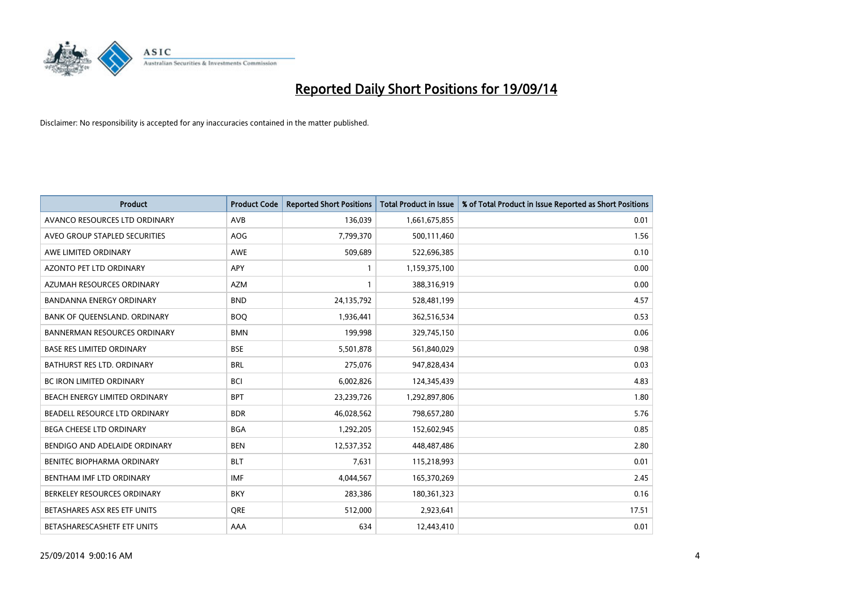

| <b>Product</b>                      | <b>Product Code</b> | <b>Reported Short Positions</b> | <b>Total Product in Issue</b> | % of Total Product in Issue Reported as Short Positions |
|-------------------------------------|---------------------|---------------------------------|-------------------------------|---------------------------------------------------------|
| AVANCO RESOURCES LTD ORDINARY       | AVB                 | 136,039                         | 1,661,675,855                 | 0.01                                                    |
| AVEO GROUP STAPLED SECURITIES       | AOG                 | 7,799,370                       | 500,111,460                   | 1.56                                                    |
| AWE LIMITED ORDINARY                | AWE                 | 509,689                         | 522,696,385                   | 0.10                                                    |
| AZONTO PET LTD ORDINARY             | APY                 | 1                               | 1,159,375,100                 | 0.00                                                    |
| AZUMAH RESOURCES ORDINARY           | <b>AZM</b>          | 1                               | 388,316,919                   | 0.00                                                    |
| <b>BANDANNA ENERGY ORDINARY</b>     | <b>BND</b>          | 24,135,792                      | 528,481,199                   | 4.57                                                    |
| BANK OF QUEENSLAND. ORDINARY        | <b>BOQ</b>          | 1,936,441                       | 362,516,534                   | 0.53                                                    |
| <b>BANNERMAN RESOURCES ORDINARY</b> | <b>BMN</b>          | 199,998                         | 329,745,150                   | 0.06                                                    |
| <b>BASE RES LIMITED ORDINARY</b>    | <b>BSE</b>          | 5,501,878                       | 561,840,029                   | 0.98                                                    |
| <b>BATHURST RES LTD. ORDINARY</b>   | <b>BRL</b>          | 275,076                         | 947,828,434                   | 0.03                                                    |
| BC IRON LIMITED ORDINARY            | <b>BCI</b>          | 6,002,826                       | 124,345,439                   | 4.83                                                    |
| BEACH ENERGY LIMITED ORDINARY       | <b>BPT</b>          | 23,239,726                      | 1,292,897,806                 | 1.80                                                    |
| BEADELL RESOURCE LTD ORDINARY       | <b>BDR</b>          | 46,028,562                      | 798,657,280                   | 5.76                                                    |
| BEGA CHEESE LTD ORDINARY            | <b>BGA</b>          | 1,292,205                       | 152,602,945                   | 0.85                                                    |
| BENDIGO AND ADELAIDE ORDINARY       | <b>BEN</b>          | 12,537,352                      | 448,487,486                   | 2.80                                                    |
| BENITEC BIOPHARMA ORDINARY          | <b>BLT</b>          | 7,631                           | 115,218,993                   | 0.01                                                    |
| BENTHAM IMF LTD ORDINARY            | <b>IMF</b>          | 4,044,567                       | 165,370,269                   | 2.45                                                    |
| BERKELEY RESOURCES ORDINARY         | <b>BKY</b>          | 283,386                         | 180,361,323                   | 0.16                                                    |
| BETASHARES ASX RES ETF UNITS        | <b>ORE</b>          | 512,000                         | 2,923,641                     | 17.51                                                   |
| BETASHARESCASHETF ETF UNITS         | AAA                 | 634                             | 12,443,410                    | 0.01                                                    |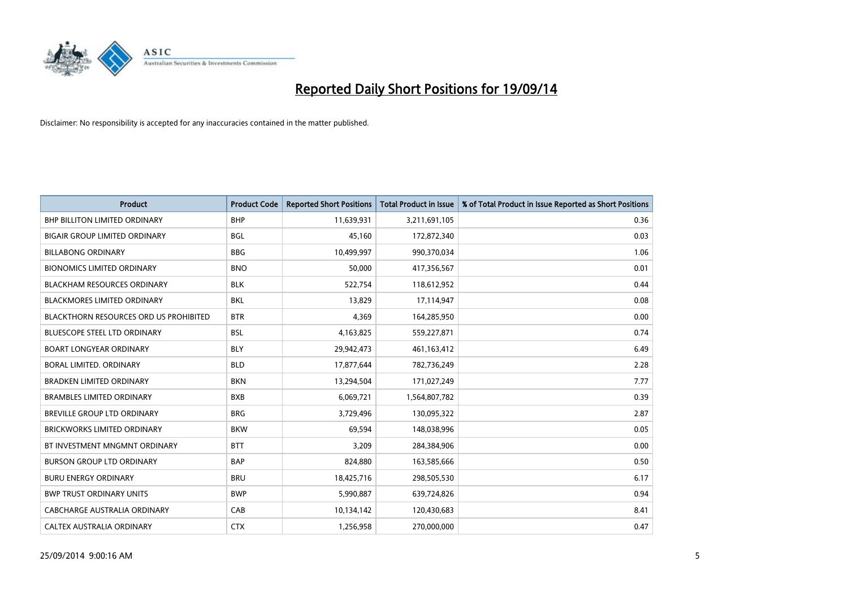

| <b>Product</b>                                | <b>Product Code</b> | <b>Reported Short Positions</b> | <b>Total Product in Issue</b> | % of Total Product in Issue Reported as Short Positions |
|-----------------------------------------------|---------------------|---------------------------------|-------------------------------|---------------------------------------------------------|
| <b>BHP BILLITON LIMITED ORDINARY</b>          | <b>BHP</b>          | 11,639,931                      | 3,211,691,105                 | 0.36                                                    |
| <b>BIGAIR GROUP LIMITED ORDINARY</b>          | <b>BGL</b>          | 45,160                          | 172,872,340                   | 0.03                                                    |
| <b>BILLABONG ORDINARY</b>                     | <b>BBG</b>          | 10,499,997                      | 990,370,034                   | 1.06                                                    |
| <b>BIONOMICS LIMITED ORDINARY</b>             | <b>BNO</b>          | 50,000                          | 417,356,567                   | 0.01                                                    |
| <b>BLACKHAM RESOURCES ORDINARY</b>            | <b>BLK</b>          | 522,754                         | 118,612,952                   | 0.44                                                    |
| <b>BLACKMORES LIMITED ORDINARY</b>            | <b>BKL</b>          | 13,829                          | 17,114,947                    | 0.08                                                    |
| <b>BLACKTHORN RESOURCES ORD US PROHIBITED</b> | <b>BTR</b>          | 4,369                           | 164,285,950                   | 0.00                                                    |
| <b>BLUESCOPE STEEL LTD ORDINARY</b>           | <b>BSL</b>          | 4,163,825                       | 559,227,871                   | 0.74                                                    |
| <b>BOART LONGYEAR ORDINARY</b>                | <b>BLY</b>          | 29,942,473                      | 461,163,412                   | 6.49                                                    |
| <b>BORAL LIMITED, ORDINARY</b>                | <b>BLD</b>          | 17,877,644                      | 782,736,249                   | 2.28                                                    |
| BRADKEN LIMITED ORDINARY                      | <b>BKN</b>          | 13,294,504                      | 171,027,249                   | 7.77                                                    |
| <b>BRAMBLES LIMITED ORDINARY</b>              | <b>BXB</b>          | 6,069,721                       | 1,564,807,782                 | 0.39                                                    |
| BREVILLE GROUP LTD ORDINARY                   | <b>BRG</b>          | 3,729,496                       | 130,095,322                   | 2.87                                                    |
| <b>BRICKWORKS LIMITED ORDINARY</b>            | <b>BKW</b>          | 69,594                          | 148,038,996                   | 0.05                                                    |
| BT INVESTMENT MNGMNT ORDINARY                 | <b>BTT</b>          | 3,209                           | 284,384,906                   | 0.00                                                    |
| <b>BURSON GROUP LTD ORDINARY</b>              | <b>BAP</b>          | 824,880                         | 163,585,666                   | 0.50                                                    |
| <b>BURU ENERGY ORDINARY</b>                   | <b>BRU</b>          | 18,425,716                      | 298,505,530                   | 6.17                                                    |
| <b>BWP TRUST ORDINARY UNITS</b>               | <b>BWP</b>          | 5,990,887                       | 639,724,826                   | 0.94                                                    |
| CABCHARGE AUSTRALIA ORDINARY                  | CAB                 | 10,134,142                      | 120,430,683                   | 8.41                                                    |
| CALTEX AUSTRALIA ORDINARY                     | <b>CTX</b>          | 1,256,958                       | 270,000,000                   | 0.47                                                    |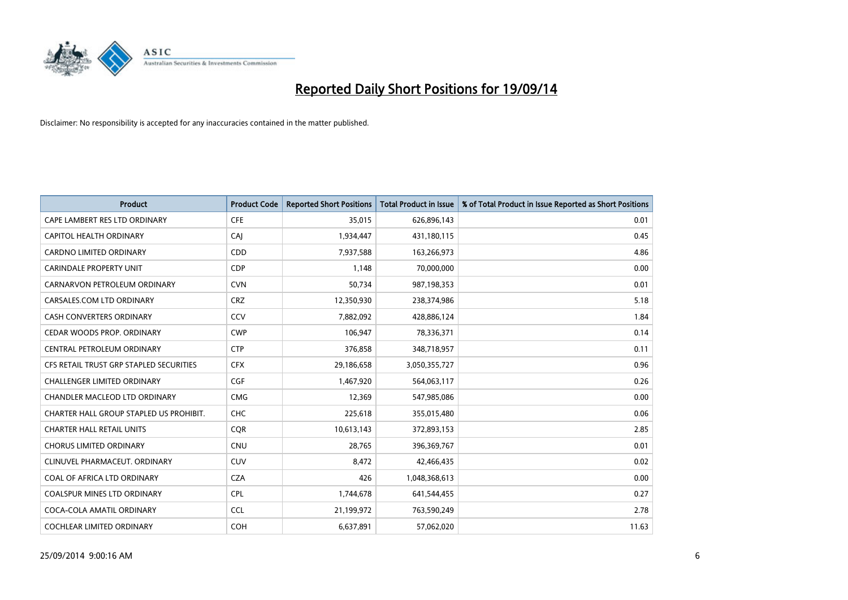

| <b>Product</b>                          | <b>Product Code</b> | <b>Reported Short Positions</b> | <b>Total Product in Issue</b> | % of Total Product in Issue Reported as Short Positions |
|-----------------------------------------|---------------------|---------------------------------|-------------------------------|---------------------------------------------------------|
| CAPE LAMBERT RES LTD ORDINARY           | <b>CFE</b>          | 35,015                          | 626,896,143                   | 0.01                                                    |
| <b>CAPITOL HEALTH ORDINARY</b>          | CAJ                 | 1,934,447                       | 431,180,115                   | 0.45                                                    |
| <b>CARDNO LIMITED ORDINARY</b>          | CDD                 | 7,937,588                       | 163,266,973                   | 4.86                                                    |
| CARINDALE PROPERTY UNIT                 | <b>CDP</b>          | 1,148                           | 70,000,000                    | 0.00                                                    |
| CARNARVON PETROLEUM ORDINARY            | <b>CVN</b>          | 50,734                          | 987,198,353                   | 0.01                                                    |
| CARSALES.COM LTD ORDINARY               | <b>CRZ</b>          | 12,350,930                      | 238,374,986                   | 5.18                                                    |
| <b>CASH CONVERTERS ORDINARY</b>         | CCV                 | 7,882,092                       | 428,886,124                   | 1.84                                                    |
| CEDAR WOODS PROP. ORDINARY              | <b>CWP</b>          | 106,947                         | 78,336,371                    | 0.14                                                    |
| CENTRAL PETROLEUM ORDINARY              | <b>CTP</b>          | 376,858                         | 348,718,957                   | 0.11                                                    |
| CFS RETAIL TRUST GRP STAPLED SECURITIES | <b>CFX</b>          | 29,186,658                      | 3,050,355,727                 | 0.96                                                    |
| <b>CHALLENGER LIMITED ORDINARY</b>      | <b>CGF</b>          | 1,467,920                       | 564,063,117                   | 0.26                                                    |
| CHANDLER MACLEOD LTD ORDINARY           | <b>CMG</b>          | 12,369                          | 547,985,086                   | 0.00                                                    |
| CHARTER HALL GROUP STAPLED US PROHIBIT. | <b>CHC</b>          | 225,618                         | 355,015,480                   | 0.06                                                    |
| <b>CHARTER HALL RETAIL UNITS</b>        | <b>COR</b>          | 10,613,143                      | 372,893,153                   | 2.85                                                    |
| <b>CHORUS LIMITED ORDINARY</b>          | CNU                 | 28,765                          | 396,369,767                   | 0.01                                                    |
| CLINUVEL PHARMACEUT. ORDINARY           | <b>CUV</b>          | 8,472                           | 42,466,435                    | 0.02                                                    |
| COAL OF AFRICA LTD ORDINARY             | <b>CZA</b>          | 426                             | 1,048,368,613                 | 0.00                                                    |
| COALSPUR MINES LTD ORDINARY             | <b>CPL</b>          | 1,744,678                       | 641,544,455                   | 0.27                                                    |
| COCA-COLA AMATIL ORDINARY               | <b>CCL</b>          | 21,199,972                      | 763,590,249                   | 2.78                                                    |
| COCHLEAR LIMITED ORDINARY               | <b>COH</b>          | 6,637,891                       | 57,062,020                    | 11.63                                                   |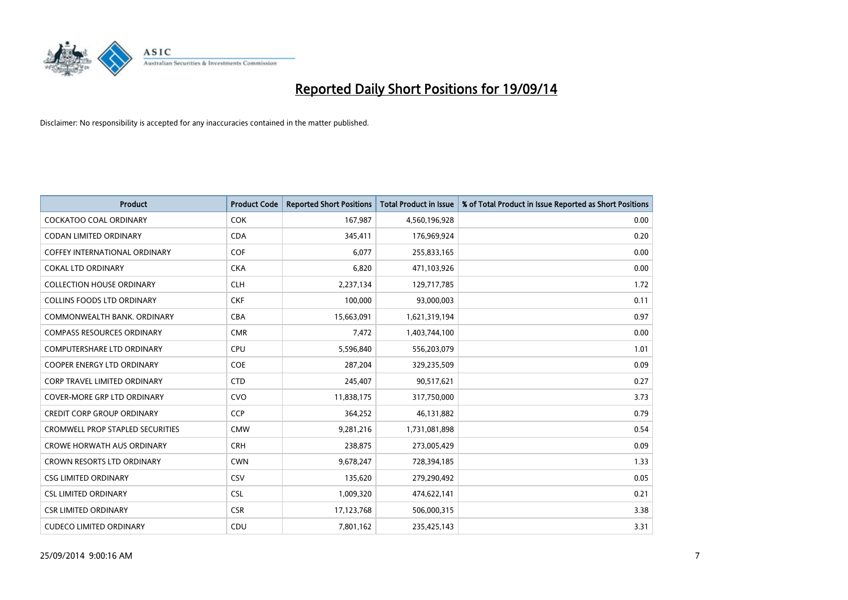

| <b>Product</b>                          | <b>Product Code</b> | <b>Reported Short Positions</b> | <b>Total Product in Issue</b> | % of Total Product in Issue Reported as Short Positions |
|-----------------------------------------|---------------------|---------------------------------|-------------------------------|---------------------------------------------------------|
| <b>COCKATOO COAL ORDINARY</b>           | <b>COK</b>          | 167,987                         | 4,560,196,928                 | 0.00                                                    |
| CODAN LIMITED ORDINARY                  | <b>CDA</b>          | 345,411                         | 176,969,924                   | 0.20                                                    |
| <b>COFFEY INTERNATIONAL ORDINARY</b>    | <b>COF</b>          | 6,077                           | 255,833,165                   | 0.00                                                    |
| <b>COKAL LTD ORDINARY</b>               | <b>CKA</b>          | 6,820                           | 471,103,926                   | 0.00                                                    |
| <b>COLLECTION HOUSE ORDINARY</b>        | <b>CLH</b>          | 2,237,134                       | 129,717,785                   | 1.72                                                    |
| <b>COLLINS FOODS LTD ORDINARY</b>       | <b>CKF</b>          | 100,000                         | 93,000,003                    | 0.11                                                    |
| COMMONWEALTH BANK, ORDINARY             | <b>CBA</b>          | 15,663,091                      | 1,621,319,194                 | 0.97                                                    |
| <b>COMPASS RESOURCES ORDINARY</b>       | <b>CMR</b>          | 7,472                           | 1,403,744,100                 | 0.00                                                    |
| <b>COMPUTERSHARE LTD ORDINARY</b>       | <b>CPU</b>          | 5,596,840                       | 556,203,079                   | 1.01                                                    |
| <b>COOPER ENERGY LTD ORDINARY</b>       | <b>COE</b>          | 287,204                         | 329,235,509                   | 0.09                                                    |
| <b>CORP TRAVEL LIMITED ORDINARY</b>     | <b>CTD</b>          | 245,407                         | 90,517,621                    | 0.27                                                    |
| <b>COVER-MORE GRP LTD ORDINARY</b>      | <b>CVO</b>          | 11,838,175                      | 317,750,000                   | 3.73                                                    |
| <b>CREDIT CORP GROUP ORDINARY</b>       | <b>CCP</b>          | 364,252                         | 46,131,882                    | 0.79                                                    |
| <b>CROMWELL PROP STAPLED SECURITIES</b> | <b>CMW</b>          | 9,281,216                       | 1,731,081,898                 | 0.54                                                    |
| <b>CROWE HORWATH AUS ORDINARY</b>       | <b>CRH</b>          | 238,875                         | 273,005,429                   | 0.09                                                    |
| <b>CROWN RESORTS LTD ORDINARY</b>       | <b>CWN</b>          | 9,678,247                       | 728,394,185                   | 1.33                                                    |
| <b>CSG LIMITED ORDINARY</b>             | <b>CSV</b>          | 135,620                         | 279,290,492                   | 0.05                                                    |
| <b>CSL LIMITED ORDINARY</b>             | <b>CSL</b>          | 1,009,320                       | 474,622,141                   | 0.21                                                    |
| <b>CSR LIMITED ORDINARY</b>             | <b>CSR</b>          | 17,123,768                      | 506,000,315                   | 3.38                                                    |
| <b>CUDECO LIMITED ORDINARY</b>          | CDU                 | 7,801,162                       | 235,425,143                   | 3.31                                                    |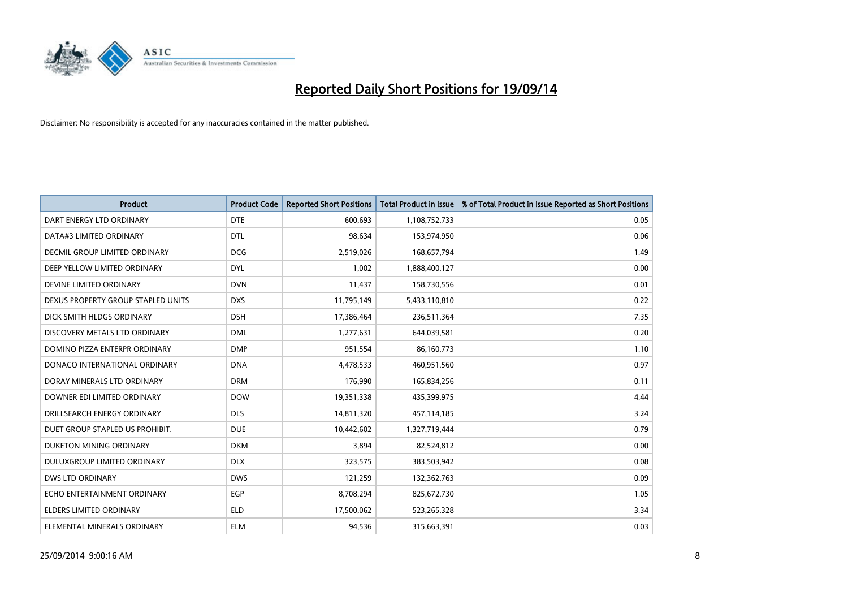

| <b>Product</b>                     | <b>Product Code</b> | <b>Reported Short Positions</b> | <b>Total Product in Issue</b> | % of Total Product in Issue Reported as Short Positions |
|------------------------------------|---------------------|---------------------------------|-------------------------------|---------------------------------------------------------|
| DART ENERGY LTD ORDINARY           | <b>DTE</b>          | 600.693                         | 1,108,752,733                 | 0.05                                                    |
| DATA#3 LIMITED ORDINARY            | <b>DTL</b>          | 98,634                          | 153,974,950                   | 0.06                                                    |
| DECMIL GROUP LIMITED ORDINARY      | <b>DCG</b>          | 2,519,026                       | 168,657,794                   | 1.49                                                    |
| DEEP YELLOW LIMITED ORDINARY       | <b>DYL</b>          | 1,002                           | 1,888,400,127                 | 0.00                                                    |
| DEVINE LIMITED ORDINARY            | <b>DVN</b>          | 11,437                          | 158,730,556                   | 0.01                                                    |
| DEXUS PROPERTY GROUP STAPLED UNITS | <b>DXS</b>          | 11,795,149                      | 5,433,110,810                 | 0.22                                                    |
| DICK SMITH HLDGS ORDINARY          | <b>DSH</b>          | 17,386,464                      | 236,511,364                   | 7.35                                                    |
| DISCOVERY METALS LTD ORDINARY      | <b>DML</b>          | 1,277,631                       | 644,039,581                   | 0.20                                                    |
| DOMINO PIZZA ENTERPR ORDINARY      | <b>DMP</b>          | 951,554                         | 86,160,773                    | 1.10                                                    |
| DONACO INTERNATIONAL ORDINARY      | <b>DNA</b>          | 4,478,533                       | 460,951,560                   | 0.97                                                    |
| DORAY MINERALS LTD ORDINARY        | <b>DRM</b>          | 176,990                         | 165,834,256                   | 0.11                                                    |
| DOWNER EDI LIMITED ORDINARY        | <b>DOW</b>          | 19,351,338                      | 435,399,975                   | 4.44                                                    |
| DRILLSEARCH ENERGY ORDINARY        | <b>DLS</b>          | 14,811,320                      | 457,114,185                   | 3.24                                                    |
| DUET GROUP STAPLED US PROHIBIT.    | <b>DUE</b>          | 10,442,602                      | 1,327,719,444                 | 0.79                                                    |
| DUKETON MINING ORDINARY            | <b>DKM</b>          | 3,894                           | 82,524,812                    | 0.00                                                    |
| DULUXGROUP LIMITED ORDINARY        | <b>DLX</b>          | 323,575                         | 383,503,942                   | 0.08                                                    |
| <b>DWS LTD ORDINARY</b>            | <b>DWS</b>          | 121,259                         | 132,362,763                   | 0.09                                                    |
| ECHO ENTERTAINMENT ORDINARY        | <b>EGP</b>          | 8,708,294                       | 825,672,730                   | 1.05                                                    |
| <b>ELDERS LIMITED ORDINARY</b>     | <b>ELD</b>          | 17,500,062                      | 523,265,328                   | 3.34                                                    |
| ELEMENTAL MINERALS ORDINARY        | <b>ELM</b>          | 94,536                          | 315,663,391                   | 0.03                                                    |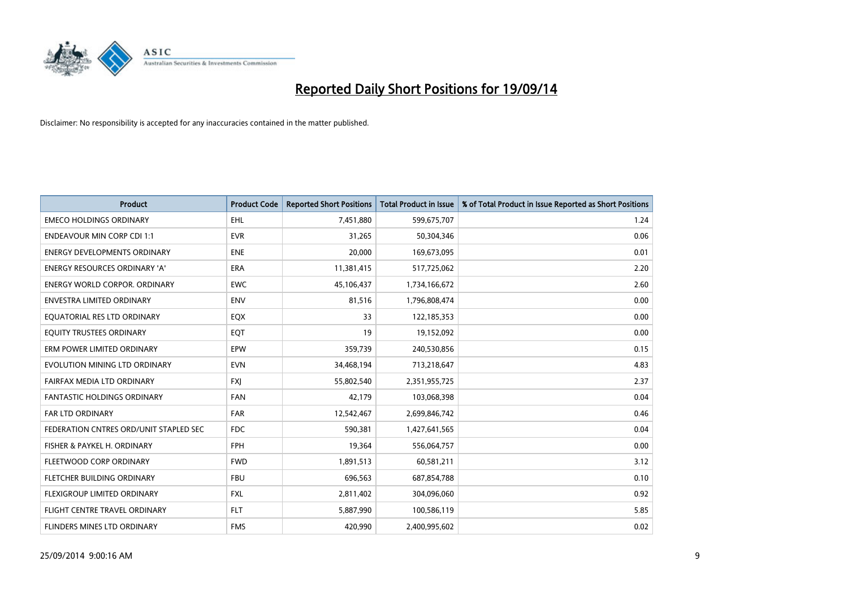

| <b>Product</b>                         | <b>Product Code</b> | <b>Reported Short Positions</b> | <b>Total Product in Issue</b> | % of Total Product in Issue Reported as Short Positions |
|----------------------------------------|---------------------|---------------------------------|-------------------------------|---------------------------------------------------------|
| <b>EMECO HOLDINGS ORDINARY</b>         | <b>EHL</b>          | 7,451,880                       | 599,675,707                   | 1.24                                                    |
| <b>ENDEAVOUR MIN CORP CDI 1:1</b>      | <b>EVR</b>          | 31,265                          | 50,304,346                    | 0.06                                                    |
| <b>ENERGY DEVELOPMENTS ORDINARY</b>    | <b>ENE</b>          | 20,000                          | 169,673,095                   | 0.01                                                    |
| ENERGY RESOURCES ORDINARY 'A'          | <b>ERA</b>          | 11,381,415                      | 517,725,062                   | 2.20                                                    |
| <b>ENERGY WORLD CORPOR, ORDINARY</b>   | <b>EWC</b>          | 45,106,437                      | 1,734,166,672                 | 2.60                                                    |
| <b>ENVESTRA LIMITED ORDINARY</b>       | <b>ENV</b>          | 81,516                          | 1,796,808,474                 | 0.00                                                    |
| EQUATORIAL RES LTD ORDINARY            | EQX                 | 33                              | 122,185,353                   | 0.00                                                    |
| EQUITY TRUSTEES ORDINARY               | EQT                 | 19                              | 19,152,092                    | 0.00                                                    |
| ERM POWER LIMITED ORDINARY             | EPW                 | 359,739                         | 240,530,856                   | 0.15                                                    |
| EVOLUTION MINING LTD ORDINARY          | <b>EVN</b>          | 34,468,194                      | 713,218,647                   | 4.83                                                    |
| FAIRFAX MEDIA LTD ORDINARY             | <b>FXI</b>          | 55,802,540                      | 2,351,955,725                 | 2.37                                                    |
| <b>FANTASTIC HOLDINGS ORDINARY</b>     | <b>FAN</b>          | 42,179                          | 103,068,398                   | 0.04                                                    |
| FAR LTD ORDINARY                       | <b>FAR</b>          | 12,542,467                      | 2,699,846,742                 | 0.46                                                    |
| FEDERATION CNTRES ORD/UNIT STAPLED SEC | <b>FDC</b>          | 590,381                         | 1,427,641,565                 | 0.04                                                    |
| FISHER & PAYKEL H. ORDINARY            | <b>FPH</b>          | 19,364                          | 556,064,757                   | 0.00                                                    |
| FLEETWOOD CORP ORDINARY                | <b>FWD</b>          | 1,891,513                       | 60,581,211                    | 3.12                                                    |
| FLETCHER BUILDING ORDINARY             | <b>FBU</b>          | 696,563                         | 687,854,788                   | 0.10                                                    |
| FLEXIGROUP LIMITED ORDINARY            | <b>FXL</b>          | 2,811,402                       | 304,096,060                   | 0.92                                                    |
| FLIGHT CENTRE TRAVEL ORDINARY          | <b>FLT</b>          | 5,887,990                       | 100,586,119                   | 5.85                                                    |
| FLINDERS MINES LTD ORDINARY            | <b>FMS</b>          | 420,990                         | 2,400,995,602                 | 0.02                                                    |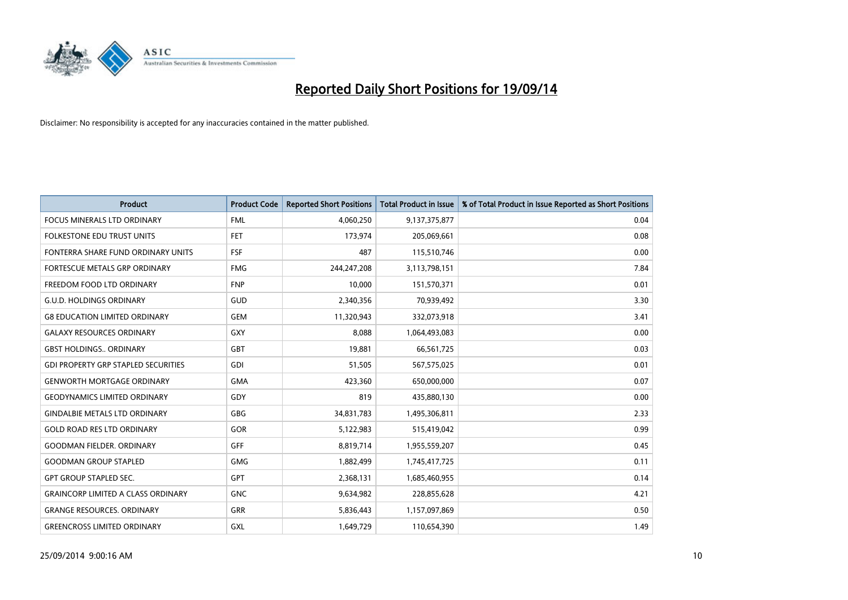

| <b>Product</b>                             | <b>Product Code</b> | <b>Reported Short Positions</b> | <b>Total Product in Issue</b> | % of Total Product in Issue Reported as Short Positions |
|--------------------------------------------|---------------------|---------------------------------|-------------------------------|---------------------------------------------------------|
| <b>FOCUS MINERALS LTD ORDINARY</b>         | <b>FML</b>          | 4,060,250                       | 9,137,375,877                 | 0.04                                                    |
| FOLKESTONE EDU TRUST UNITS                 | <b>FET</b>          | 173,974                         | 205,069,661                   | 0.08                                                    |
| FONTERRA SHARE FUND ORDINARY UNITS         | <b>FSF</b>          | 487                             | 115,510,746                   | 0.00                                                    |
| FORTESCUE METALS GRP ORDINARY              | <b>FMG</b>          | 244,247,208                     | 3,113,798,151                 | 7.84                                                    |
| FREEDOM FOOD LTD ORDINARY                  | <b>FNP</b>          | 10,000                          | 151,570,371                   | 0.01                                                    |
| <b>G.U.D. HOLDINGS ORDINARY</b>            | GUD                 | 2,340,356                       | 70,939,492                    | 3.30                                                    |
| <b>G8 EDUCATION LIMITED ORDINARY</b>       | <b>GEM</b>          | 11,320,943                      | 332,073,918                   | 3.41                                                    |
| <b>GALAXY RESOURCES ORDINARY</b>           | <b>GXY</b>          | 8,088                           | 1,064,493,083                 | 0.00                                                    |
| <b>GBST HOLDINGS., ORDINARY</b>            | <b>GBT</b>          | 19,881                          | 66,561,725                    | 0.03                                                    |
| <b>GDI PROPERTY GRP STAPLED SECURITIES</b> | GDI                 | 51,505                          | 567,575,025                   | 0.01                                                    |
| <b>GENWORTH MORTGAGE ORDINARY</b>          | <b>GMA</b>          | 423,360                         | 650,000,000                   | 0.07                                                    |
| <b>GEODYNAMICS LIMITED ORDINARY</b>        | GDY                 | 819                             | 435,880,130                   | 0.00                                                    |
| <b>GINDALBIE METALS LTD ORDINARY</b>       | GBG                 | 34,831,783                      | 1,495,306,811                 | 2.33                                                    |
| <b>GOLD ROAD RES LTD ORDINARY</b>          | GOR                 | 5,122,983                       | 515,419,042                   | 0.99                                                    |
| <b>GOODMAN FIELDER, ORDINARY</b>           | GFF                 | 8,819,714                       | 1,955,559,207                 | 0.45                                                    |
| <b>GOODMAN GROUP STAPLED</b>               | <b>GMG</b>          | 1,882,499                       | 1,745,417,725                 | 0.11                                                    |
| <b>GPT GROUP STAPLED SEC.</b>              | GPT                 | 2,368,131                       | 1,685,460,955                 | 0.14                                                    |
| <b>GRAINCORP LIMITED A CLASS ORDINARY</b>  | <b>GNC</b>          | 9,634,982                       | 228,855,628                   | 4.21                                                    |
| <b>GRANGE RESOURCES, ORDINARY</b>          | <b>GRR</b>          | 5,836,443                       | 1,157,097,869                 | 0.50                                                    |
| <b>GREENCROSS LIMITED ORDINARY</b>         | GXL                 | 1,649,729                       | 110,654,390                   | 1.49                                                    |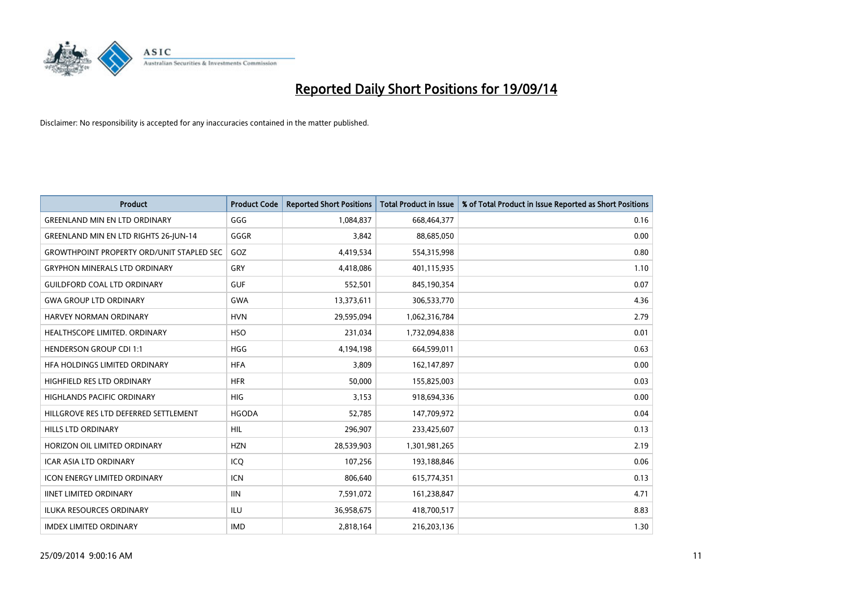

| <b>Product</b>                                   | <b>Product Code</b> | <b>Reported Short Positions</b> | <b>Total Product in Issue</b> | % of Total Product in Issue Reported as Short Positions |
|--------------------------------------------------|---------------------|---------------------------------|-------------------------------|---------------------------------------------------------|
| <b>GREENLAND MIN EN LTD ORDINARY</b>             | GGG                 | 1,084,837                       | 668,464,377                   | 0.16                                                    |
| <b>GREENLAND MIN EN LTD RIGHTS 26-JUN-14</b>     | GGGR                | 3,842                           | 88,685,050                    | 0.00                                                    |
| <b>GROWTHPOINT PROPERTY ORD/UNIT STAPLED SEC</b> | GOZ                 | 4,419,534                       | 554,315,998                   | 0.80                                                    |
| <b>GRYPHON MINERALS LTD ORDINARY</b>             | GRY                 | 4,418,086                       | 401,115,935                   | 1.10                                                    |
| <b>GUILDFORD COAL LTD ORDINARY</b>               | <b>GUF</b>          | 552,501                         | 845,190,354                   | 0.07                                                    |
| <b>GWA GROUP LTD ORDINARY</b>                    | <b>GWA</b>          | 13,373,611                      | 306,533,770                   | 4.36                                                    |
| <b>HARVEY NORMAN ORDINARY</b>                    | <b>HVN</b>          | 29,595,094                      | 1,062,316,784                 | 2.79                                                    |
| HEALTHSCOPE LIMITED. ORDINARY                    | <b>HSO</b>          | 231,034                         | 1,732,094,838                 | 0.01                                                    |
| <b>HENDERSON GROUP CDI 1:1</b>                   | <b>HGG</b>          | 4,194,198                       | 664,599,011                   | 0.63                                                    |
| HFA HOLDINGS LIMITED ORDINARY                    | <b>HFA</b>          | 3,809                           | 162,147,897                   | 0.00                                                    |
| HIGHFIELD RES LTD ORDINARY                       | <b>HFR</b>          | 50,000                          | 155,825,003                   | 0.03                                                    |
| <b>HIGHLANDS PACIFIC ORDINARY</b>                | <b>HIG</b>          | 3,153                           | 918,694,336                   | 0.00                                                    |
| HILLGROVE RES LTD DEFERRED SETTLEMENT            | <b>HGODA</b>        | 52,785                          | 147,709,972                   | 0.04                                                    |
| <b>HILLS LTD ORDINARY</b>                        | HIL                 | 296,907                         | 233,425,607                   | 0.13                                                    |
| HORIZON OIL LIMITED ORDINARY                     | <b>HZN</b>          | 28,539,903                      | 1,301,981,265                 | 2.19                                                    |
| ICAR ASIA LTD ORDINARY                           | ICO                 | 107,256                         | 193,188,846                   | 0.06                                                    |
| ICON ENERGY LIMITED ORDINARY                     | ICN                 | 806,640                         | 615,774,351                   | 0.13                                                    |
| <b>IINET LIMITED ORDINARY</b>                    | <b>IIN</b>          | 7,591,072                       | 161,238,847                   | 4.71                                                    |
| <b>ILUKA RESOURCES ORDINARY</b>                  | ILU                 | 36,958,675                      | 418,700,517                   | 8.83                                                    |
| <b>IMDEX LIMITED ORDINARY</b>                    | <b>IMD</b>          | 2,818,164                       | 216,203,136                   | 1.30                                                    |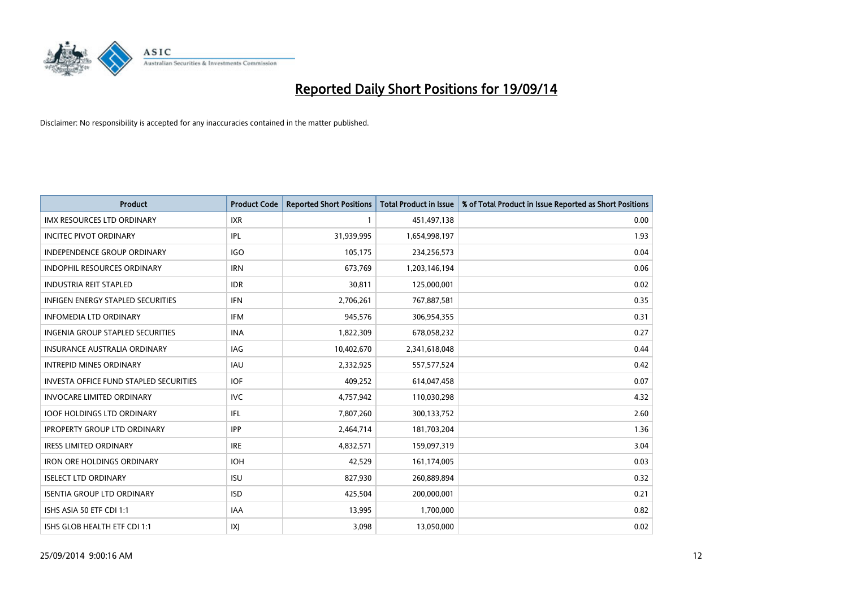

| <b>Product</b>                                | <b>Product Code</b> | <b>Reported Short Positions</b> | <b>Total Product in Issue</b> | % of Total Product in Issue Reported as Short Positions |
|-----------------------------------------------|---------------------|---------------------------------|-------------------------------|---------------------------------------------------------|
| <b>IMX RESOURCES LTD ORDINARY</b>             | <b>IXR</b>          | $\mathbf{1}$                    | 451,497,138                   | 0.00                                                    |
| <b>INCITEC PIVOT ORDINARY</b>                 | IPL                 | 31,939,995                      | 1,654,998,197                 | 1.93                                                    |
| INDEPENDENCE GROUP ORDINARY                   | <b>IGO</b>          | 105,175                         | 234,256,573                   | 0.04                                                    |
| INDOPHIL RESOURCES ORDINARY                   | <b>IRN</b>          | 673,769                         | 1,203,146,194                 | 0.06                                                    |
| <b>INDUSTRIA REIT STAPLED</b>                 | <b>IDR</b>          | 30,811                          | 125,000,001                   | 0.02                                                    |
| <b>INFIGEN ENERGY STAPLED SECURITIES</b>      | <b>IFN</b>          | 2,706,261                       | 767,887,581                   | 0.35                                                    |
| <b>INFOMEDIA LTD ORDINARY</b>                 | IFM                 | 945,576                         | 306,954,355                   | 0.31                                                    |
| INGENIA GROUP STAPLED SECURITIES              | <b>INA</b>          | 1,822,309                       | 678,058,232                   | 0.27                                                    |
| <b>INSURANCE AUSTRALIA ORDINARY</b>           | <b>IAG</b>          | 10,402,670                      | 2,341,618,048                 | 0.44                                                    |
| <b>INTREPID MINES ORDINARY</b>                | <b>IAU</b>          | 2,332,925                       | 557,577,524                   | 0.42                                                    |
| <b>INVESTA OFFICE FUND STAPLED SECURITIES</b> | <b>IOF</b>          | 409,252                         | 614,047,458                   | 0.07                                                    |
| <b>INVOCARE LIMITED ORDINARY</b>              | <b>IVC</b>          | 4,757,942                       | 110,030,298                   | 4.32                                                    |
| <b>IOOF HOLDINGS LTD ORDINARY</b>             | IFL                 | 7,807,260                       | 300,133,752                   | 2.60                                                    |
| <b>IPROPERTY GROUP LTD ORDINARY</b>           | <b>IPP</b>          | 2,464,714                       | 181,703,204                   | 1.36                                                    |
| <b>IRESS LIMITED ORDINARY</b>                 | <b>IRE</b>          | 4,832,571                       | 159,097,319                   | 3.04                                                    |
| <b>IRON ORE HOLDINGS ORDINARY</b>             | <b>IOH</b>          | 42,529                          | 161,174,005                   | 0.03                                                    |
| <b>ISELECT LTD ORDINARY</b>                   | <b>ISU</b>          | 827,930                         | 260,889,894                   | 0.32                                                    |
| <b>ISENTIA GROUP LTD ORDINARY</b>             | <b>ISD</b>          | 425,504                         | 200,000,001                   | 0.21                                                    |
| ISHS ASIA 50 ETF CDI 1:1                      | <b>IAA</b>          | 13,995                          | 1,700,000                     | 0.82                                                    |
| ISHS GLOB HEALTH ETF CDI 1:1                  | IXJ                 | 3,098                           | 13,050,000                    | 0.02                                                    |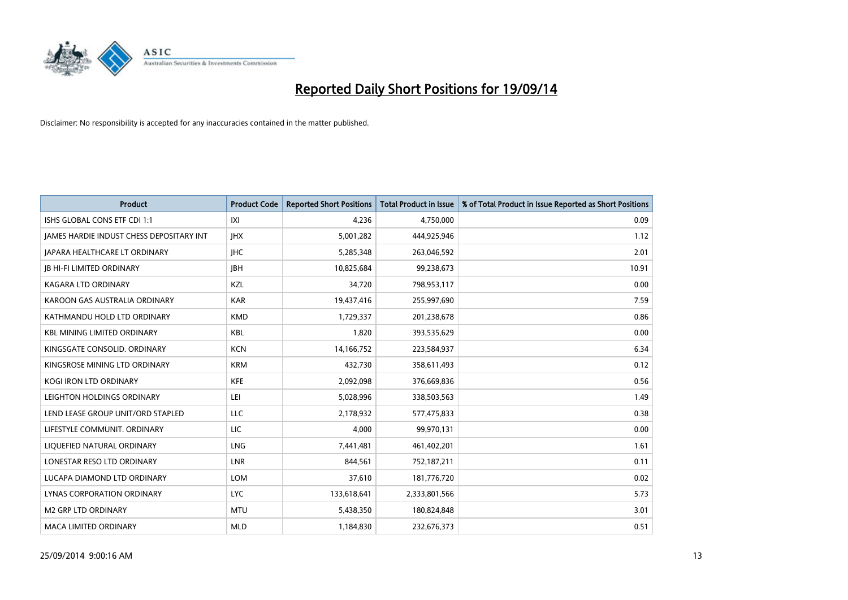

| <b>Product</b>                           | <b>Product Code</b> | <b>Reported Short Positions</b> | <b>Total Product in Issue</b> | % of Total Product in Issue Reported as Short Positions |
|------------------------------------------|---------------------|---------------------------------|-------------------------------|---------------------------------------------------------|
| ISHS GLOBAL CONS ETF CDI 1:1             | IXI                 | 4.236                           | 4,750,000                     | 0.09                                                    |
| JAMES HARDIE INDUST CHESS DEPOSITARY INT | <b>JHX</b>          | 5,001,282                       | 444,925,946                   | 1.12                                                    |
| <b>JAPARA HEALTHCARE LT ORDINARY</b>     | <b>IHC</b>          | 5,285,348                       | 263,046,592                   | 2.01                                                    |
| <b>JB HI-FI LIMITED ORDINARY</b>         | <b>JBH</b>          | 10,825,684                      | 99,238,673                    | 10.91                                                   |
| <b>KAGARA LTD ORDINARY</b>               | KZL                 | 34,720                          | 798,953,117                   | 0.00                                                    |
| KAROON GAS AUSTRALIA ORDINARY            | <b>KAR</b>          | 19,437,416                      | 255,997,690                   | 7.59                                                    |
| KATHMANDU HOLD LTD ORDINARY              | <b>KMD</b>          | 1,729,337                       | 201,238,678                   | 0.86                                                    |
| KBL MINING LIMITED ORDINARY              | <b>KBL</b>          | 1,820                           | 393,535,629                   | 0.00                                                    |
| KINGSGATE CONSOLID, ORDINARY             | <b>KCN</b>          | 14,166,752                      | 223,584,937                   | 6.34                                                    |
| KINGSROSE MINING LTD ORDINARY            | <b>KRM</b>          | 432,730                         | 358,611,493                   | 0.12                                                    |
| KOGI IRON LTD ORDINARY                   | <b>KFE</b>          | 2,092,098                       | 376,669,836                   | 0.56                                                    |
| LEIGHTON HOLDINGS ORDINARY               | LEI                 | 5,028,996                       | 338,503,563                   | 1.49                                                    |
| LEND LEASE GROUP UNIT/ORD STAPLED        | LLC                 | 2,178,932                       | 577,475,833                   | 0.38                                                    |
| LIFESTYLE COMMUNIT. ORDINARY             | LIC                 | 4,000                           | 99,970,131                    | 0.00                                                    |
| LIQUEFIED NATURAL ORDINARY               | <b>LNG</b>          | 7,441,481                       | 461,402,201                   | 1.61                                                    |
| LONESTAR RESO LTD ORDINARY               | LNR                 | 844,561                         | 752,187,211                   | 0.11                                                    |
| LUCAPA DIAMOND LTD ORDINARY              | <b>LOM</b>          | 37,610                          | 181,776,720                   | 0.02                                                    |
| LYNAS CORPORATION ORDINARY               | <b>LYC</b>          | 133,618,641                     | 2,333,801,566                 | 5.73                                                    |
| <b>M2 GRP LTD ORDINARY</b>               | <b>MTU</b>          | 5,438,350                       | 180,824,848                   | 3.01                                                    |
| MACA LIMITED ORDINARY                    | <b>MLD</b>          | 1,184,830                       | 232,676,373                   | 0.51                                                    |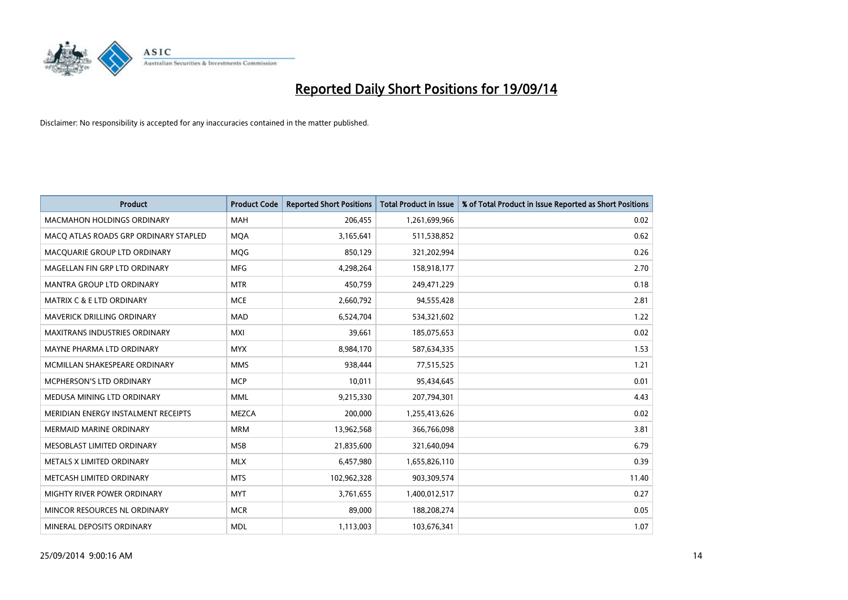

| <b>Product</b>                        | <b>Product Code</b> | <b>Reported Short Positions</b> | <b>Total Product in Issue</b> | % of Total Product in Issue Reported as Short Positions |
|---------------------------------------|---------------------|---------------------------------|-------------------------------|---------------------------------------------------------|
| <b>MACMAHON HOLDINGS ORDINARY</b>     | <b>MAH</b>          | 206,455                         | 1,261,699,966                 | 0.02                                                    |
| MACO ATLAS ROADS GRP ORDINARY STAPLED | <b>MOA</b>          | 3,165,641                       | 511,538,852                   | 0.62                                                    |
| MACQUARIE GROUP LTD ORDINARY          | <b>MOG</b>          | 850,129                         | 321,202,994                   | 0.26                                                    |
| MAGELLAN FIN GRP LTD ORDINARY         | <b>MFG</b>          | 4,298,264                       | 158,918,177                   | 2.70                                                    |
| <b>MANTRA GROUP LTD ORDINARY</b>      | <b>MTR</b>          | 450,759                         | 249,471,229                   | 0.18                                                    |
| <b>MATRIX C &amp; E LTD ORDINARY</b>  | <b>MCE</b>          | 2,660,792                       | 94,555,428                    | 2.81                                                    |
| <b>MAVERICK DRILLING ORDINARY</b>     | <b>MAD</b>          | 6,524,704                       | 534,321,602                   | 1.22                                                    |
| <b>MAXITRANS INDUSTRIES ORDINARY</b>  | <b>MXI</b>          | 39,661                          | 185,075,653                   | 0.02                                                    |
| MAYNE PHARMA LTD ORDINARY             | <b>MYX</b>          | 8,984,170                       | 587,634,335                   | 1.53                                                    |
| MCMILLAN SHAKESPEARE ORDINARY         | <b>MMS</b>          | 938,444                         | 77,515,525                    | 1.21                                                    |
| MCPHERSON'S LTD ORDINARY              | <b>MCP</b>          | 10,011                          | 95,434,645                    | 0.01                                                    |
| MEDUSA MINING LTD ORDINARY            | <b>MML</b>          | 9,215,330                       | 207,794,301                   | 4.43                                                    |
| MERIDIAN ENERGY INSTALMENT RECEIPTS   | <b>MEZCA</b>        | 200,000                         | 1,255,413,626                 | 0.02                                                    |
| <b>MERMAID MARINE ORDINARY</b>        | <b>MRM</b>          | 13,962,568                      | 366,766,098                   | 3.81                                                    |
| MESOBLAST LIMITED ORDINARY            | <b>MSB</b>          | 21,835,600                      | 321,640,094                   | 6.79                                                    |
| METALS X LIMITED ORDINARY             | <b>MLX</b>          | 6,457,980                       | 1,655,826,110                 | 0.39                                                    |
| METCASH LIMITED ORDINARY              | <b>MTS</b>          | 102,962,328                     | 903,309,574                   | 11.40                                                   |
| MIGHTY RIVER POWER ORDINARY           | <b>MYT</b>          | 3,761,655                       | 1,400,012,517                 | 0.27                                                    |
| MINCOR RESOURCES NL ORDINARY          | <b>MCR</b>          | 89,000                          | 188,208,274                   | 0.05                                                    |
| MINERAL DEPOSITS ORDINARY             | <b>MDL</b>          | 1,113,003                       | 103,676,341                   | 1.07                                                    |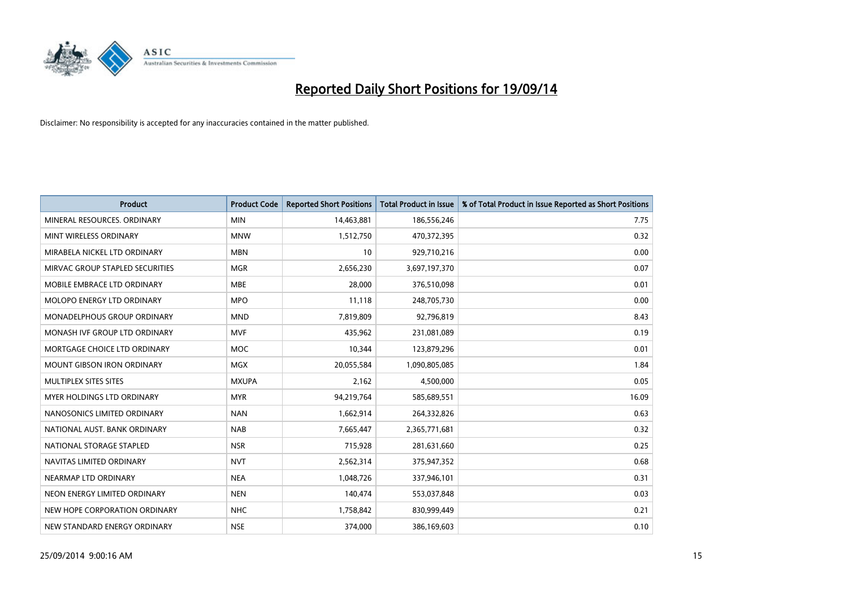

| <b>Product</b>                    | <b>Product Code</b> | <b>Reported Short Positions</b> | <b>Total Product in Issue</b> | % of Total Product in Issue Reported as Short Positions |
|-----------------------------------|---------------------|---------------------------------|-------------------------------|---------------------------------------------------------|
| MINERAL RESOURCES, ORDINARY       | <b>MIN</b>          | 14,463,881                      | 186,556,246                   | 7.75                                                    |
| MINT WIRELESS ORDINARY            | <b>MNW</b>          | 1,512,750                       | 470,372,395                   | 0.32                                                    |
| MIRABELA NICKEL LTD ORDINARY      | <b>MBN</b>          | 10                              | 929,710,216                   | 0.00                                                    |
| MIRVAC GROUP STAPLED SECURITIES   | <b>MGR</b>          | 2,656,230                       | 3,697,197,370                 | 0.07                                                    |
| MOBILE EMBRACE LTD ORDINARY       | <b>MBE</b>          | 28,000                          | 376,510,098                   | 0.01                                                    |
| MOLOPO ENERGY LTD ORDINARY        | <b>MPO</b>          | 11,118                          | 248,705,730                   | 0.00                                                    |
| MONADELPHOUS GROUP ORDINARY       | <b>MND</b>          | 7,819,809                       | 92,796,819                    | 8.43                                                    |
| MONASH IVF GROUP LTD ORDINARY     | <b>MVF</b>          | 435,962                         | 231,081,089                   | 0.19                                                    |
| MORTGAGE CHOICE LTD ORDINARY      | MOC                 | 10,344                          | 123,879,296                   | 0.01                                                    |
| <b>MOUNT GIBSON IRON ORDINARY</b> | <b>MGX</b>          | 20,055,584                      | 1,090,805,085                 | 1.84                                                    |
| MULTIPLEX SITES SITES             | <b>MXUPA</b>        | 2,162                           | 4,500,000                     | 0.05                                                    |
| MYER HOLDINGS LTD ORDINARY        | <b>MYR</b>          | 94,219,764                      | 585,689,551                   | 16.09                                                   |
| NANOSONICS LIMITED ORDINARY       | <b>NAN</b>          | 1,662,914                       | 264,332,826                   | 0.63                                                    |
| NATIONAL AUST, BANK ORDINARY      | <b>NAB</b>          | 7,665,447                       | 2,365,771,681                 | 0.32                                                    |
| NATIONAL STORAGE STAPLED          | <b>NSR</b>          | 715,928                         | 281,631,660                   | 0.25                                                    |
| NAVITAS LIMITED ORDINARY          | <b>NVT</b>          | 2,562,314                       | 375,947,352                   | 0.68                                                    |
| NEARMAP LTD ORDINARY              | <b>NEA</b>          | 1,048,726                       | 337,946,101                   | 0.31                                                    |
| NEON ENERGY LIMITED ORDINARY      | <b>NEN</b>          | 140,474                         | 553,037,848                   | 0.03                                                    |
| NEW HOPE CORPORATION ORDINARY     | <b>NHC</b>          | 1,758,842                       | 830,999,449                   | 0.21                                                    |
| NEW STANDARD ENERGY ORDINARY      | <b>NSE</b>          | 374,000                         | 386,169,603                   | 0.10                                                    |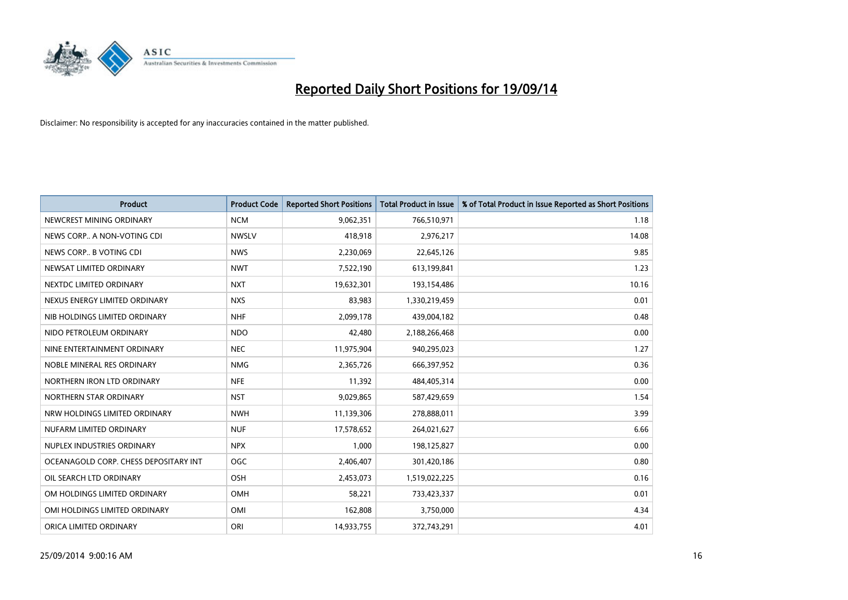

| <b>Product</b>                        | <b>Product Code</b> | <b>Reported Short Positions</b> | <b>Total Product in Issue</b> | % of Total Product in Issue Reported as Short Positions |
|---------------------------------------|---------------------|---------------------------------|-------------------------------|---------------------------------------------------------|
| NEWCREST MINING ORDINARY              | <b>NCM</b>          | 9,062,351                       | 766,510,971                   | 1.18                                                    |
| NEWS CORP A NON-VOTING CDI            | <b>NWSLV</b>        | 418,918                         | 2,976,217                     | 14.08                                                   |
| NEWS CORP B VOTING CDI                | <b>NWS</b>          | 2,230,069                       | 22,645,126                    | 9.85                                                    |
| NEWSAT LIMITED ORDINARY               | <b>NWT</b>          | 7,522,190                       | 613,199,841                   | 1.23                                                    |
| NEXTDC LIMITED ORDINARY               | <b>NXT</b>          | 19,632,301                      | 193,154,486                   | 10.16                                                   |
| NEXUS ENERGY LIMITED ORDINARY         | <b>NXS</b>          | 83,983                          | 1,330,219,459                 | 0.01                                                    |
| NIB HOLDINGS LIMITED ORDINARY         | <b>NHF</b>          | 2,099,178                       | 439,004,182                   | 0.48                                                    |
| NIDO PETROLEUM ORDINARY               | <b>NDO</b>          | 42,480                          | 2,188,266,468                 | 0.00                                                    |
| NINE ENTERTAINMENT ORDINARY           | <b>NEC</b>          | 11,975,904                      | 940,295,023                   | 1.27                                                    |
| NOBLE MINERAL RES ORDINARY            | <b>NMG</b>          | 2,365,726                       | 666,397,952                   | 0.36                                                    |
| NORTHERN IRON LTD ORDINARY            | <b>NFE</b>          | 11,392                          | 484,405,314                   | 0.00                                                    |
| NORTHERN STAR ORDINARY                | <b>NST</b>          | 9,029,865                       | 587,429,659                   | 1.54                                                    |
| NRW HOLDINGS LIMITED ORDINARY         | <b>NWH</b>          | 11,139,306                      | 278,888,011                   | 3.99                                                    |
| NUFARM LIMITED ORDINARY               | <b>NUF</b>          | 17,578,652                      | 264,021,627                   | 6.66                                                    |
| NUPLEX INDUSTRIES ORDINARY            | <b>NPX</b>          | 1,000                           | 198,125,827                   | 0.00                                                    |
| OCEANAGOLD CORP. CHESS DEPOSITARY INT | <b>OGC</b>          | 2,406,407                       | 301,420,186                   | 0.80                                                    |
| OIL SEARCH LTD ORDINARY               | OSH                 | 2,453,073                       | 1,519,022,225                 | 0.16                                                    |
| OM HOLDINGS LIMITED ORDINARY          | OMH                 | 58,221                          | 733,423,337                   | 0.01                                                    |
| OMI HOLDINGS LIMITED ORDINARY         | OMI                 | 162,808                         | 3,750,000                     | 4.34                                                    |
| ORICA LIMITED ORDINARY                | ORI                 | 14,933,755                      | 372,743,291                   | 4.01                                                    |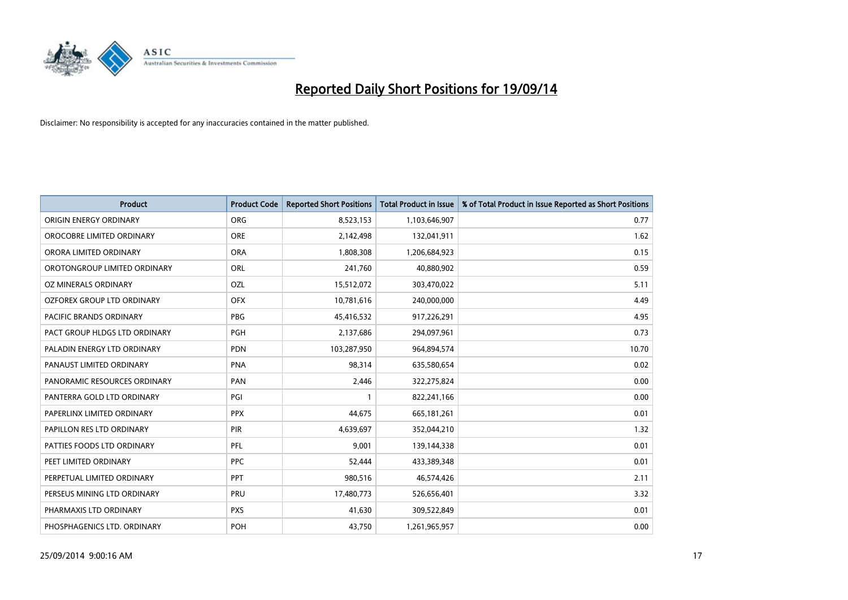

| <b>Product</b>                | <b>Product Code</b> | <b>Reported Short Positions</b> | <b>Total Product in Issue</b> | % of Total Product in Issue Reported as Short Positions |
|-------------------------------|---------------------|---------------------------------|-------------------------------|---------------------------------------------------------|
| ORIGIN ENERGY ORDINARY        | <b>ORG</b>          | 8,523,153                       | 1,103,646,907                 | 0.77                                                    |
| OROCOBRE LIMITED ORDINARY     | <b>ORE</b>          | 2,142,498                       | 132,041,911                   | 1.62                                                    |
| ORORA LIMITED ORDINARY        | <b>ORA</b>          | 1,808,308                       | 1,206,684,923                 | 0.15                                                    |
| OROTONGROUP LIMITED ORDINARY  | ORL                 | 241,760                         | 40,880,902                    | 0.59                                                    |
| OZ MINERALS ORDINARY          | OZL                 | 15,512,072                      | 303,470,022                   | 5.11                                                    |
| OZFOREX GROUP LTD ORDINARY    | <b>OFX</b>          | 10,781,616                      | 240,000,000                   | 4.49                                                    |
| PACIFIC BRANDS ORDINARY       | <b>PBG</b>          | 45,416,532                      | 917,226,291                   | 4.95                                                    |
| PACT GROUP HLDGS LTD ORDINARY | <b>PGH</b>          | 2,137,686                       | 294,097,961                   | 0.73                                                    |
| PALADIN ENERGY LTD ORDINARY   | <b>PDN</b>          | 103,287,950                     | 964,894,574                   | 10.70                                                   |
| PANAUST LIMITED ORDINARY      | <b>PNA</b>          | 98,314                          | 635,580,654                   | 0.02                                                    |
| PANORAMIC RESOURCES ORDINARY  | PAN                 | 2,446                           | 322,275,824                   | 0.00                                                    |
| PANTERRA GOLD LTD ORDINARY    | PGI                 | $\mathbf{1}$                    | 822,241,166                   | 0.00                                                    |
| PAPERLINX LIMITED ORDINARY    | <b>PPX</b>          | 44,675                          | 665,181,261                   | 0.01                                                    |
| PAPILLON RES LTD ORDINARY     | PIR                 | 4,639,697                       | 352,044,210                   | 1.32                                                    |
| PATTIES FOODS LTD ORDINARY    | PFL                 | 9,001                           | 139,144,338                   | 0.01                                                    |
| PEET LIMITED ORDINARY         | <b>PPC</b>          | 52,444                          | 433,389,348                   | 0.01                                                    |
| PERPETUAL LIMITED ORDINARY    | PPT                 | 980,516                         | 46,574,426                    | 2.11                                                    |
| PERSEUS MINING LTD ORDINARY   | <b>PRU</b>          | 17,480,773                      | 526,656,401                   | 3.32                                                    |
| PHARMAXIS LTD ORDINARY        | <b>PXS</b>          | 41,630                          | 309,522,849                   | 0.01                                                    |
| PHOSPHAGENICS LTD. ORDINARY   | POH                 | 43,750                          | 1,261,965,957                 | 0.00                                                    |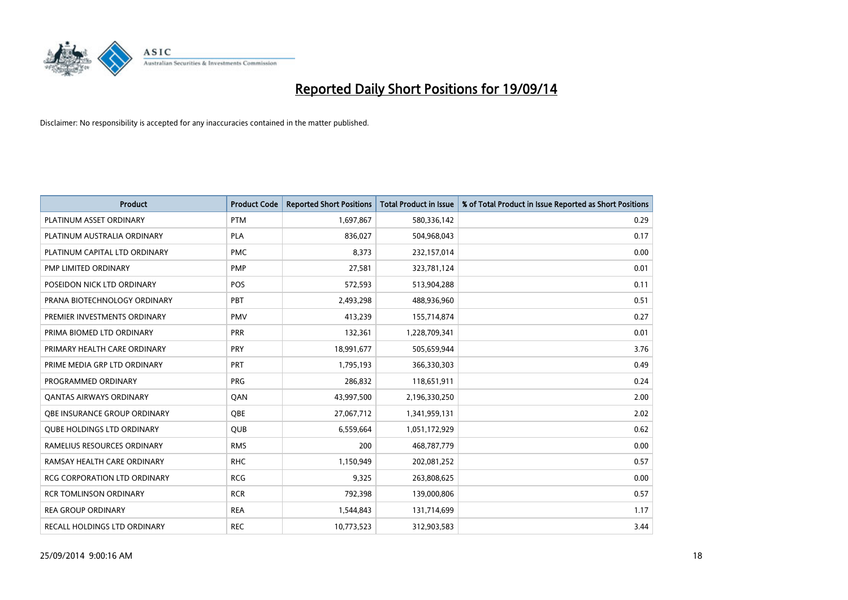

| <b>Product</b>                    | <b>Product Code</b> | <b>Reported Short Positions</b> | <b>Total Product in Issue</b> | % of Total Product in Issue Reported as Short Positions |
|-----------------------------------|---------------------|---------------------------------|-------------------------------|---------------------------------------------------------|
| PLATINUM ASSET ORDINARY           | <b>PTM</b>          | 1,697,867                       | 580,336,142                   | 0.29                                                    |
| PLATINUM AUSTRALIA ORDINARY       | <b>PLA</b>          | 836,027                         | 504,968,043                   | 0.17                                                    |
| PLATINUM CAPITAL LTD ORDINARY     | <b>PMC</b>          | 8,373                           | 232,157,014                   | 0.00                                                    |
| PMP LIMITED ORDINARY              | <b>PMP</b>          | 27,581                          | 323,781,124                   | 0.01                                                    |
| POSEIDON NICK LTD ORDINARY        | <b>POS</b>          | 572,593                         | 513,904,288                   | 0.11                                                    |
| PRANA BIOTECHNOLOGY ORDINARY      | PBT                 | 2,493,298                       | 488,936,960                   | 0.51                                                    |
| PREMIER INVESTMENTS ORDINARY      | <b>PMV</b>          | 413,239                         | 155,714,874                   | 0.27                                                    |
| PRIMA BIOMED LTD ORDINARY         | <b>PRR</b>          | 132,361                         | 1,228,709,341                 | 0.01                                                    |
| PRIMARY HEALTH CARE ORDINARY      | <b>PRY</b>          | 18,991,677                      | 505,659,944                   | 3.76                                                    |
| PRIME MEDIA GRP LTD ORDINARY      | <b>PRT</b>          | 1,795,193                       | 366,330,303                   | 0.49                                                    |
| PROGRAMMED ORDINARY               | <b>PRG</b>          | 286,832                         | 118,651,911                   | 0.24                                                    |
| <b>QANTAS AIRWAYS ORDINARY</b>    | QAN                 | 43,997,500                      | 2,196,330,250                 | 2.00                                                    |
| OBE INSURANCE GROUP ORDINARY      | <b>OBE</b>          | 27,067,712                      | 1,341,959,131                 | 2.02                                                    |
| <b>QUBE HOLDINGS LTD ORDINARY</b> | <b>QUB</b>          | 6,559,664                       | 1,051,172,929                 | 0.62                                                    |
| RAMELIUS RESOURCES ORDINARY       | <b>RMS</b>          | 200                             | 468,787,779                   | 0.00                                                    |
| RAMSAY HEALTH CARE ORDINARY       | <b>RHC</b>          | 1,150,949                       | 202,081,252                   | 0.57                                                    |
| RCG CORPORATION LTD ORDINARY      | <b>RCG</b>          | 9,325                           | 263,808,625                   | 0.00                                                    |
| <b>RCR TOMLINSON ORDINARY</b>     | <b>RCR</b>          | 792,398                         | 139,000,806                   | 0.57                                                    |
| <b>REA GROUP ORDINARY</b>         | <b>REA</b>          | 1,544,843                       | 131,714,699                   | 1.17                                                    |
| RECALL HOLDINGS LTD ORDINARY      | <b>REC</b>          | 10,773,523                      | 312,903,583                   | 3.44                                                    |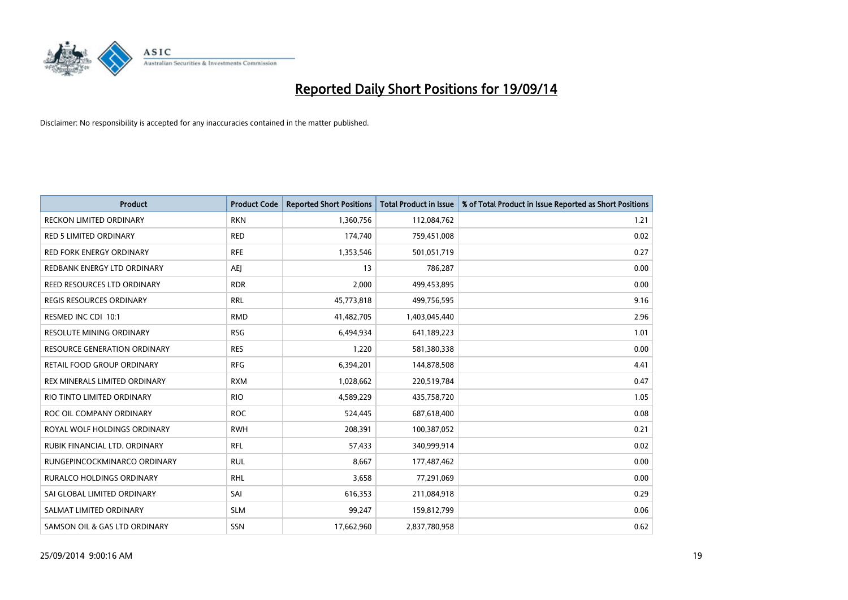

| Product                             | <b>Product Code</b> | <b>Reported Short Positions</b> | <b>Total Product in Issue</b> | % of Total Product in Issue Reported as Short Positions |
|-------------------------------------|---------------------|---------------------------------|-------------------------------|---------------------------------------------------------|
| <b>RECKON LIMITED ORDINARY</b>      | <b>RKN</b>          | 1,360,756                       | 112,084,762                   | 1.21                                                    |
| <b>RED 5 LIMITED ORDINARY</b>       | <b>RED</b>          | 174,740                         | 759,451,008                   | 0.02                                                    |
| <b>RED FORK ENERGY ORDINARY</b>     | <b>RFE</b>          | 1,353,546                       | 501,051,719                   | 0.27                                                    |
| REDBANK ENERGY LTD ORDINARY         | <b>AEJ</b>          | 13                              | 786,287                       | 0.00                                                    |
| REED RESOURCES LTD ORDINARY         | <b>RDR</b>          | 2,000                           | 499,453,895                   | 0.00                                                    |
| <b>REGIS RESOURCES ORDINARY</b>     | <b>RRL</b>          | 45,773,818                      | 499,756,595                   | 9.16                                                    |
| RESMED INC CDI 10:1                 | <b>RMD</b>          | 41,482,705                      | 1,403,045,440                 | 2.96                                                    |
| RESOLUTE MINING ORDINARY            | <b>RSG</b>          | 6,494,934                       | 641,189,223                   | 1.01                                                    |
| <b>RESOURCE GENERATION ORDINARY</b> | <b>RES</b>          | 1,220                           | 581,380,338                   | 0.00                                                    |
| RETAIL FOOD GROUP ORDINARY          | <b>RFG</b>          | 6,394,201                       | 144,878,508                   | 4.41                                                    |
| REX MINERALS LIMITED ORDINARY       | <b>RXM</b>          | 1,028,662                       | 220,519,784                   | 0.47                                                    |
| RIO TINTO LIMITED ORDINARY          | <b>RIO</b>          | 4,589,229                       | 435,758,720                   | 1.05                                                    |
| ROC OIL COMPANY ORDINARY            | <b>ROC</b>          | 524,445                         | 687,618,400                   | 0.08                                                    |
| ROYAL WOLF HOLDINGS ORDINARY        | <b>RWH</b>          | 208,391                         | 100,387,052                   | 0.21                                                    |
| RUBIK FINANCIAL LTD. ORDINARY       | <b>RFL</b>          | 57,433                          | 340,999,914                   | 0.02                                                    |
| RUNGEPINCOCKMINARCO ORDINARY        | <b>RUL</b>          | 8,667                           | 177,487,462                   | 0.00                                                    |
| RURALCO HOLDINGS ORDINARY           | <b>RHL</b>          | 3,658                           | 77,291,069                    | 0.00                                                    |
| SAI GLOBAL LIMITED ORDINARY         | SAI                 | 616,353                         | 211,084,918                   | 0.29                                                    |
| SALMAT LIMITED ORDINARY             | <b>SLM</b>          | 99,247                          | 159,812,799                   | 0.06                                                    |
| SAMSON OIL & GAS LTD ORDINARY       | <b>SSN</b>          | 17,662,960                      | 2,837,780,958                 | 0.62                                                    |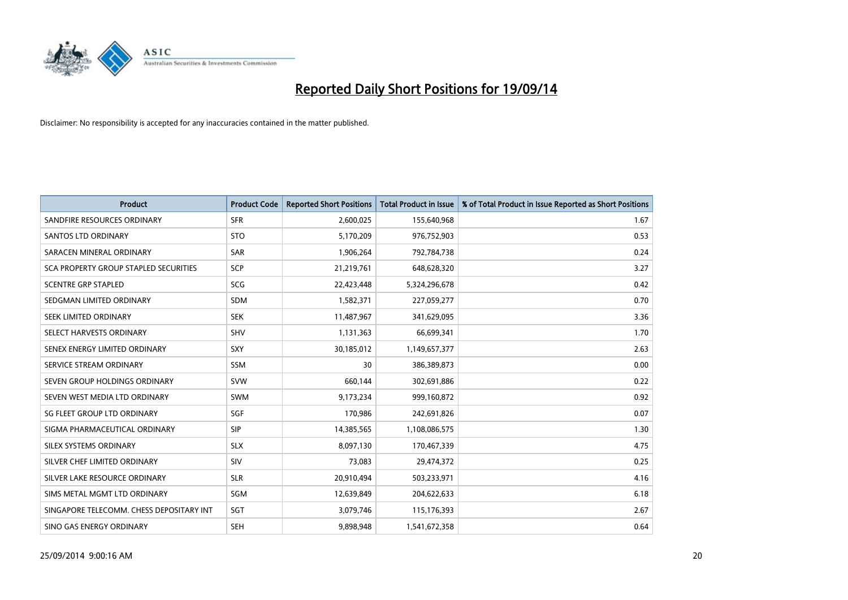

| <b>Product</b>                           | <b>Product Code</b> | <b>Reported Short Positions</b> | <b>Total Product in Issue</b> | % of Total Product in Issue Reported as Short Positions |
|------------------------------------------|---------------------|---------------------------------|-------------------------------|---------------------------------------------------------|
| SANDFIRE RESOURCES ORDINARY              | <b>SFR</b>          | 2,600,025                       | 155,640,968                   | 1.67                                                    |
| SANTOS LTD ORDINARY                      | <b>STO</b>          | 5,170,209                       | 976,752,903                   | 0.53                                                    |
| SARACEN MINERAL ORDINARY                 | <b>SAR</b>          | 1,906,264                       | 792,784,738                   | 0.24                                                    |
| SCA PROPERTY GROUP STAPLED SECURITIES    | <b>SCP</b>          | 21,219,761                      | 648,628,320                   | 3.27                                                    |
| <b>SCENTRE GRP STAPLED</b>               | <b>SCG</b>          | 22,423,448                      | 5,324,296,678                 | 0.42                                                    |
| SEDGMAN LIMITED ORDINARY                 | <b>SDM</b>          | 1,582,371                       | 227,059,277                   | 0.70                                                    |
| SEEK LIMITED ORDINARY                    | <b>SEK</b>          | 11,487,967                      | 341,629,095                   | 3.36                                                    |
| SELECT HARVESTS ORDINARY                 | <b>SHV</b>          | 1,131,363                       | 66,699,341                    | 1.70                                                    |
| SENEX ENERGY LIMITED ORDINARY            | <b>SXY</b>          | 30,185,012                      | 1,149,657,377                 | 2.63                                                    |
| SERVICE STREAM ORDINARY                  | <b>SSM</b>          | 30                              | 386,389,873                   | 0.00                                                    |
| SEVEN GROUP HOLDINGS ORDINARY            | <b>SVW</b>          | 660,144                         | 302,691,886                   | 0.22                                                    |
| SEVEN WEST MEDIA LTD ORDINARY            | <b>SWM</b>          | 9,173,234                       | 999,160,872                   | 0.92                                                    |
| SG FLEET GROUP LTD ORDINARY              | SGF                 | 170,986                         | 242,691,826                   | 0.07                                                    |
| SIGMA PHARMACEUTICAL ORDINARY            | <b>SIP</b>          | 14,385,565                      | 1,108,086,575                 | 1.30                                                    |
| SILEX SYSTEMS ORDINARY                   | <b>SLX</b>          | 8,097,130                       | 170,467,339                   | 4.75                                                    |
| SILVER CHEF LIMITED ORDINARY             | SIV                 | 73,083                          | 29,474,372                    | 0.25                                                    |
| SILVER LAKE RESOURCE ORDINARY            | <b>SLR</b>          | 20,910,494                      | 503,233,971                   | 4.16                                                    |
| SIMS METAL MGMT LTD ORDINARY             | <b>SGM</b>          | 12,639,849                      | 204,622,633                   | 6.18                                                    |
| SINGAPORE TELECOMM. CHESS DEPOSITARY INT | SGT                 | 3,079,746                       | 115,176,393                   | 2.67                                                    |
| SINO GAS ENERGY ORDINARY                 | <b>SEH</b>          | 9,898,948                       | 1,541,672,358                 | 0.64                                                    |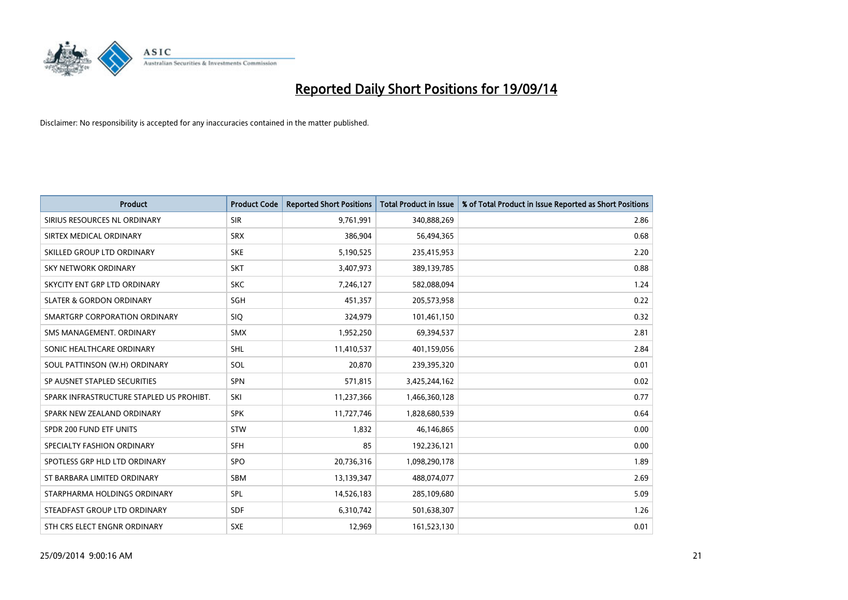

| <b>Product</b>                           | <b>Product Code</b> | <b>Reported Short Positions</b> | <b>Total Product in Issue</b> | % of Total Product in Issue Reported as Short Positions |
|------------------------------------------|---------------------|---------------------------------|-------------------------------|---------------------------------------------------------|
| SIRIUS RESOURCES NL ORDINARY             | <b>SIR</b>          | 9,761,991                       | 340,888,269                   | 2.86                                                    |
| SIRTEX MEDICAL ORDINARY                  | <b>SRX</b>          | 386,904                         | 56,494,365                    | 0.68                                                    |
| SKILLED GROUP LTD ORDINARY               | <b>SKE</b>          | 5,190,525                       | 235,415,953                   | 2.20                                                    |
| SKY NETWORK ORDINARY                     | <b>SKT</b>          | 3,407,973                       | 389,139,785                   | 0.88                                                    |
| SKYCITY ENT GRP LTD ORDINARY             | <b>SKC</b>          | 7,246,127                       | 582,088,094                   | 1.24                                                    |
| <b>SLATER &amp; GORDON ORDINARY</b>      | SGH                 | 451,357                         | 205,573,958                   | 0.22                                                    |
| SMARTGRP CORPORATION ORDINARY            | <b>SIQ</b>          | 324,979                         | 101,461,150                   | 0.32                                                    |
| SMS MANAGEMENT. ORDINARY                 | <b>SMX</b>          | 1,952,250                       | 69,394,537                    | 2.81                                                    |
| SONIC HEALTHCARE ORDINARY                | <b>SHL</b>          | 11,410,537                      | 401,159,056                   | 2.84                                                    |
| SOUL PATTINSON (W.H) ORDINARY            | SOL                 | 20,870                          | 239,395,320                   | 0.01                                                    |
| SP AUSNET STAPLED SECURITIES             | <b>SPN</b>          | 571,815                         | 3,425,244,162                 | 0.02                                                    |
| SPARK INFRASTRUCTURE STAPLED US PROHIBT. | SKI                 | 11,237,366                      | 1,466,360,128                 | 0.77                                                    |
| SPARK NEW ZEALAND ORDINARY               | <b>SPK</b>          | 11,727,746                      | 1,828,680,539                 | 0.64                                                    |
| SPDR 200 FUND ETF UNITS                  | <b>STW</b>          | 1,832                           | 46,146,865                    | 0.00                                                    |
| SPECIALTY FASHION ORDINARY               | <b>SFH</b>          | 85                              | 192,236,121                   | 0.00                                                    |
| SPOTLESS GRP HLD LTD ORDINARY            | <b>SPO</b>          | 20,736,316                      | 1,098,290,178                 | 1.89                                                    |
| ST BARBARA LIMITED ORDINARY              | <b>SBM</b>          | 13,139,347                      | 488,074,077                   | 2.69                                                    |
| STARPHARMA HOLDINGS ORDINARY             | SPL                 | 14,526,183                      | 285,109,680                   | 5.09                                                    |
| STEADFAST GROUP LTD ORDINARY             | <b>SDF</b>          | 6,310,742                       | 501,638,307                   | 1.26                                                    |
| STH CRS ELECT ENGNR ORDINARY             | <b>SXE</b>          | 12,969                          | 161,523,130                   | 0.01                                                    |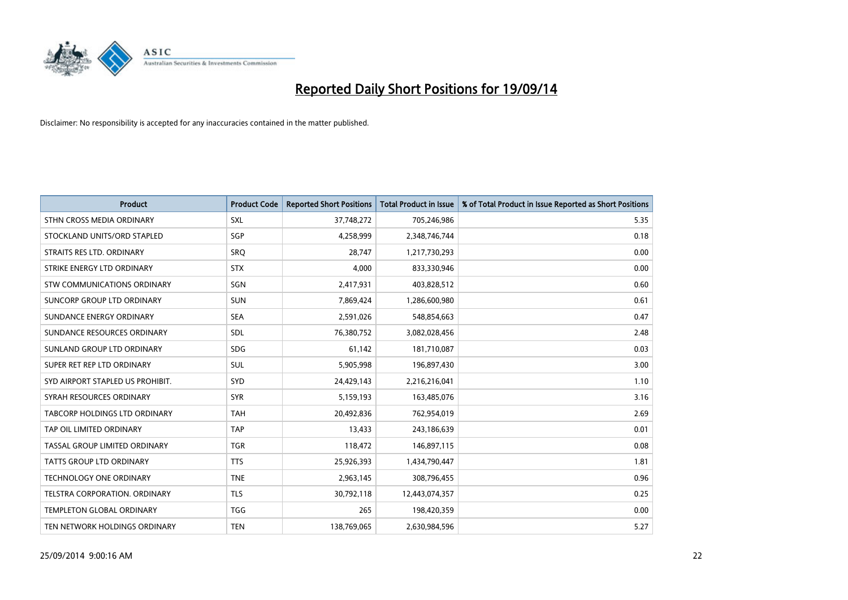

| <b>Product</b>                   | <b>Product Code</b> | <b>Reported Short Positions</b> | <b>Total Product in Issue</b> | % of Total Product in Issue Reported as Short Positions |
|----------------------------------|---------------------|---------------------------------|-------------------------------|---------------------------------------------------------|
| STHN CROSS MEDIA ORDINARY        | <b>SXL</b>          | 37,748,272                      | 705,246,986                   | 5.35                                                    |
| STOCKLAND UNITS/ORD STAPLED      | SGP                 | 4,258,999                       | 2,348,746,744                 | 0.18                                                    |
| STRAITS RES LTD. ORDINARY        | <b>SRO</b>          | 28,747                          | 1,217,730,293                 | 0.00                                                    |
| STRIKE ENERGY LTD ORDINARY       | <b>STX</b>          | 4,000                           | 833,330,946                   | 0.00                                                    |
| STW COMMUNICATIONS ORDINARY      | SGN                 | 2,417,931                       | 403,828,512                   | 0.60                                                    |
| SUNCORP GROUP LTD ORDINARY       | <b>SUN</b>          | 7,869,424                       | 1,286,600,980                 | 0.61                                                    |
| SUNDANCE ENERGY ORDINARY         | <b>SEA</b>          | 2,591,026                       | 548,854,663                   | 0.47                                                    |
| SUNDANCE RESOURCES ORDINARY      | SDL                 | 76,380,752                      | 3,082,028,456                 | 2.48                                                    |
| SUNLAND GROUP LTD ORDINARY       | <b>SDG</b>          | 61,142                          | 181,710,087                   | 0.03                                                    |
| SUPER RET REP LTD ORDINARY       | <b>SUL</b>          | 5,905,998                       | 196,897,430                   | 3.00                                                    |
| SYD AIRPORT STAPLED US PROHIBIT. | <b>SYD</b>          | 24,429,143                      | 2,216,216,041                 | 1.10                                                    |
| SYRAH RESOURCES ORDINARY         | <b>SYR</b>          | 5,159,193                       | 163,485,076                   | 3.16                                                    |
| TABCORP HOLDINGS LTD ORDINARY    | <b>TAH</b>          | 20,492,836                      | 762,954,019                   | 2.69                                                    |
| TAP OIL LIMITED ORDINARY         | <b>TAP</b>          | 13,433                          | 243,186,639                   | 0.01                                                    |
| TASSAL GROUP LIMITED ORDINARY    | <b>TGR</b>          | 118,472                         | 146,897,115                   | 0.08                                                    |
| TATTS GROUP LTD ORDINARY         | <b>TTS</b>          | 25,926,393                      | 1,434,790,447                 | 1.81                                                    |
| TECHNOLOGY ONE ORDINARY          | <b>TNE</b>          | 2,963,145                       | 308,796,455                   | 0.96                                                    |
| TELSTRA CORPORATION. ORDINARY    | <b>TLS</b>          | 30,792,118                      | 12,443,074,357                | 0.25                                                    |
| <b>TEMPLETON GLOBAL ORDINARY</b> | <b>TGG</b>          | 265                             | 198,420,359                   | 0.00                                                    |
| TEN NETWORK HOLDINGS ORDINARY    | <b>TEN</b>          | 138,769,065                     | 2,630,984,596                 | 5.27                                                    |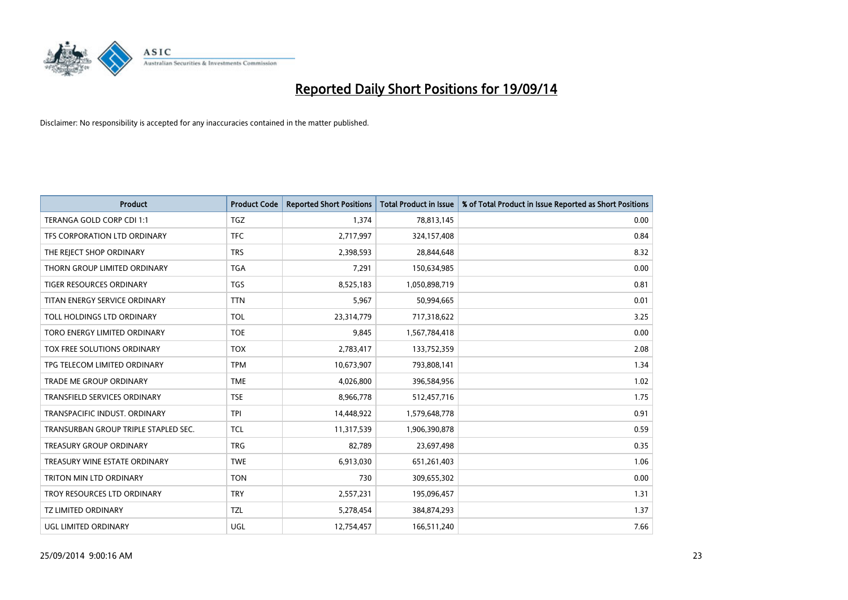

| <b>Product</b>                       | <b>Product Code</b> | <b>Reported Short Positions</b> | <b>Total Product in Issue</b> | % of Total Product in Issue Reported as Short Positions |
|--------------------------------------|---------------------|---------------------------------|-------------------------------|---------------------------------------------------------|
| TERANGA GOLD CORP CDI 1:1            | <b>TGZ</b>          | 1,374                           | 78,813,145                    | 0.00                                                    |
| TFS CORPORATION LTD ORDINARY         | <b>TFC</b>          | 2,717,997                       | 324,157,408                   | 0.84                                                    |
| THE REJECT SHOP ORDINARY             | <b>TRS</b>          | 2,398,593                       | 28,844,648                    | 8.32                                                    |
| THORN GROUP LIMITED ORDINARY         | <b>TGA</b>          | 7,291                           | 150,634,985                   | 0.00                                                    |
| <b>TIGER RESOURCES ORDINARY</b>      | <b>TGS</b>          | 8,525,183                       | 1,050,898,719                 | 0.81                                                    |
| TITAN ENERGY SERVICE ORDINARY        | <b>TTN</b>          | 5,967                           | 50,994,665                    | 0.01                                                    |
| TOLL HOLDINGS LTD ORDINARY           | <b>TOL</b>          | 23,314,779                      | 717,318,622                   | 3.25                                                    |
| TORO ENERGY LIMITED ORDINARY         | <b>TOE</b>          | 9,845                           | 1,567,784,418                 | 0.00                                                    |
| TOX FREE SOLUTIONS ORDINARY          | <b>TOX</b>          | 2,783,417                       | 133,752,359                   | 2.08                                                    |
| TPG TELECOM LIMITED ORDINARY         | <b>TPM</b>          | 10,673,907                      | 793,808,141                   | 1.34                                                    |
| TRADE ME GROUP ORDINARY              | <b>TME</b>          | 4,026,800                       | 396,584,956                   | 1.02                                                    |
| <b>TRANSFIELD SERVICES ORDINARY</b>  | <b>TSE</b>          | 8,966,778                       | 512,457,716                   | 1.75                                                    |
| TRANSPACIFIC INDUST, ORDINARY        | <b>TPI</b>          | 14,448,922                      | 1,579,648,778                 | 0.91                                                    |
| TRANSURBAN GROUP TRIPLE STAPLED SEC. | <b>TCL</b>          | 11,317,539                      | 1,906,390,878                 | 0.59                                                    |
| <b>TREASURY GROUP ORDINARY</b>       | <b>TRG</b>          | 82,789                          | 23,697,498                    | 0.35                                                    |
| TREASURY WINE ESTATE ORDINARY        | <b>TWE</b>          | 6,913,030                       | 651,261,403                   | 1.06                                                    |
| TRITON MIN LTD ORDINARY              | <b>TON</b>          | 730                             | 309,655,302                   | 0.00                                                    |
| TROY RESOURCES LTD ORDINARY          | <b>TRY</b>          | 2,557,231                       | 195,096,457                   | 1.31                                                    |
| <b>TZ LIMITED ORDINARY</b>           | <b>TZL</b>          | 5,278,454                       | 384,874,293                   | 1.37                                                    |
| UGL LIMITED ORDINARY                 | UGL                 | 12,754,457                      | 166,511,240                   | 7.66                                                    |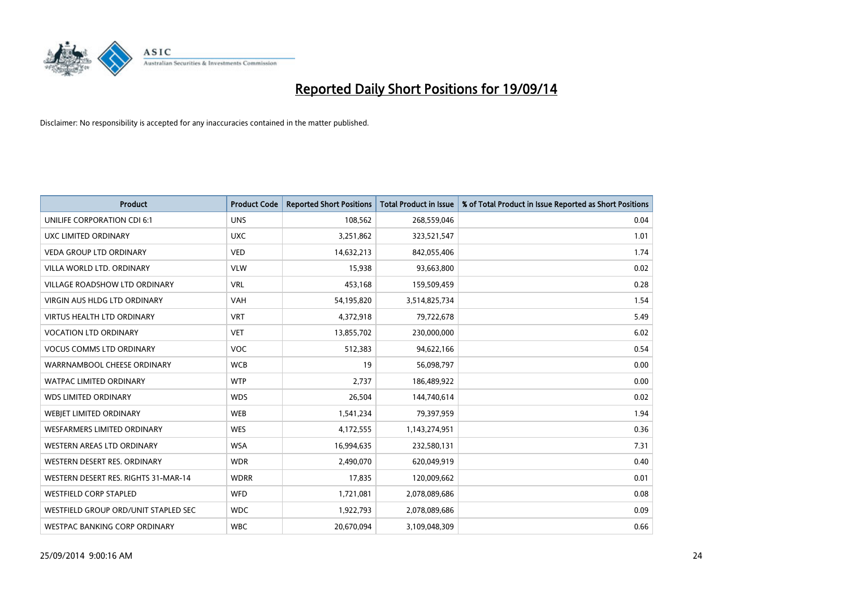

| <b>Product</b>                       | <b>Product Code</b> | <b>Reported Short Positions</b> | <b>Total Product in Issue</b> | % of Total Product in Issue Reported as Short Positions |
|--------------------------------------|---------------------|---------------------------------|-------------------------------|---------------------------------------------------------|
| UNILIFE CORPORATION CDI 6:1          | <b>UNS</b>          | 108,562                         | 268,559,046                   | 0.04                                                    |
| UXC LIMITED ORDINARY                 | <b>UXC</b>          | 3,251,862                       | 323,521,547                   | 1.01                                                    |
| <b>VEDA GROUP LTD ORDINARY</b>       | <b>VED</b>          | 14,632,213                      | 842,055,406                   | 1.74                                                    |
| VILLA WORLD LTD. ORDINARY            | <b>VLW</b>          | 15,938                          | 93,663,800                    | 0.02                                                    |
| <b>VILLAGE ROADSHOW LTD ORDINARY</b> | <b>VRL</b>          | 453,168                         | 159,509,459                   | 0.28                                                    |
| <b>VIRGIN AUS HLDG LTD ORDINARY</b>  | <b>VAH</b>          | 54,195,820                      | 3,514,825,734                 | 1.54                                                    |
| <b>VIRTUS HEALTH LTD ORDINARY</b>    | <b>VRT</b>          | 4,372,918                       | 79,722,678                    | 5.49                                                    |
| <b>VOCATION LTD ORDINARY</b>         | <b>VET</b>          | 13,855,702                      | 230,000,000                   | 6.02                                                    |
| <b>VOCUS COMMS LTD ORDINARY</b>      | <b>VOC</b>          | 512,383                         | 94,622,166                    | 0.54                                                    |
| WARRNAMBOOL CHEESE ORDINARY          | <b>WCB</b>          | 19                              | 56,098,797                    | 0.00                                                    |
| WATPAC LIMITED ORDINARY              | <b>WTP</b>          | 2,737                           | 186,489,922                   | 0.00                                                    |
| <b>WDS LIMITED ORDINARY</b>          | <b>WDS</b>          | 26,504                          | 144,740,614                   | 0.02                                                    |
| WEBIET LIMITED ORDINARY              | <b>WEB</b>          | 1,541,234                       | 79,397,959                    | 1.94                                                    |
| <b>WESFARMERS LIMITED ORDINARY</b>   | <b>WES</b>          | 4,172,555                       | 1,143,274,951                 | 0.36                                                    |
| <b>WESTERN AREAS LTD ORDINARY</b>    | <b>WSA</b>          | 16,994,635                      | 232,580,131                   | 7.31                                                    |
| WESTERN DESERT RES. ORDINARY         | <b>WDR</b>          | 2,490,070                       | 620,049,919                   | 0.40                                                    |
| WESTERN DESERT RES. RIGHTS 31-MAR-14 | <b>WDRR</b>         | 17,835                          | 120,009,662                   | 0.01                                                    |
| <b>WESTFIELD CORP STAPLED</b>        | <b>WFD</b>          | 1,721,081                       | 2,078,089,686                 | 0.08                                                    |
| WESTFIELD GROUP ORD/UNIT STAPLED SEC | <b>WDC</b>          | 1,922,793                       | 2,078,089,686                 | 0.09                                                    |
| WESTPAC BANKING CORP ORDINARY        | <b>WBC</b>          | 20,670,094                      | 3,109,048,309                 | 0.66                                                    |